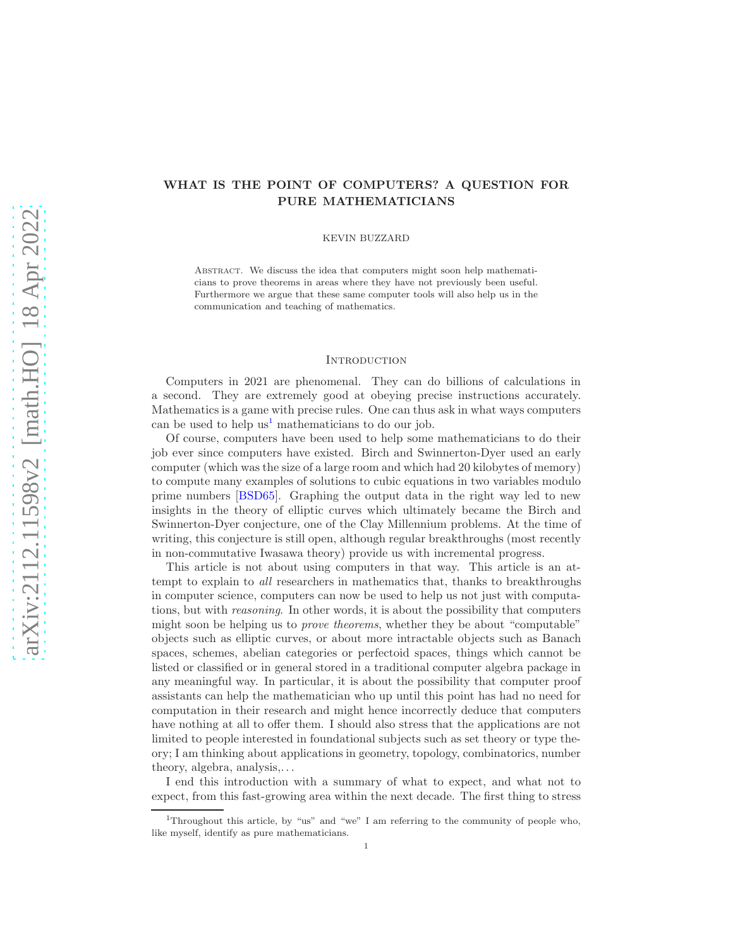# WHAT IS THE POINT OF COMPUTERS? A QUESTION FOR PURE MATHEMATICIANS

KEVIN BUZZARD

ABSTRACT. We discuss the idea that computers might soon help mathematicians to prove theorems in areas where they have not previously been useful. Furthermore we argue that these same computer tools will also help us in the communication and teaching of mathematics.

## <span id="page-0-1"></span>**INTRODUCTION**

Computers in 2021 are phenomenal. They can do billions of calculations in a second. They are extremely good at obeying precise instructions accurately. Mathematics is a game with precise rules. One can thus ask in what ways computers can be used to help  $us^1$  $us^1$  mathematicians to do our job.

Of course, computers have been used to help some mathematicians to do their job ever since computers have existed. Birch and Swinnerton-Dyer used an early computer (which was the size of a large room and which had 20 kilobytes of memory) to compute many examples of solutions to cubic equations in two variables modulo prime numbers [\[BSD65\]](#page-24-0). Graphing the output data in the right way led to new insights in the theory of elliptic curves which ultimately became the Birch and Swinnerton-Dyer conjecture, one of the Clay Millennium problems. At the time of writing, this conjecture is still open, although regular breakthroughs (most recently in non-commutative Iwasawa theory) provide us with incremental progress.

This article is not about using computers in that way. This article is an attempt to explain to all researchers in mathematics that, thanks to breakthroughs in computer science, computers can now be used to help us not just with computations, but with reasoning. In other words, it is about the possibility that computers might soon be helping us to prove theorems, whether they be about "computable" objects such as elliptic curves, or about more intractable objects such as Banach spaces, schemes, abelian categories or perfectoid spaces, things which cannot be listed or classified or in general stored in a traditional computer algebra package in any meaningful way. In particular, it is about the possibility that computer proof assistants can help the mathematician who up until this point has had no need for computation in their research and might hence incorrectly deduce that computers have nothing at all to offer them. I should also stress that the applications are not limited to people interested in foundational subjects such as set theory or type theory; I am thinking about applications in geometry, topology, combinatorics, number theory, algebra, analysis,. . .

I end this introduction with a summary of what to expect, and what not to expect, from this fast-growing area within the next decade. The first thing to stress

<span id="page-0-0"></span><sup>&</sup>lt;sup>1</sup>Throughout this article, by "us" and "we" I am referring to the community of people who, like myself, identify as pure mathematicians.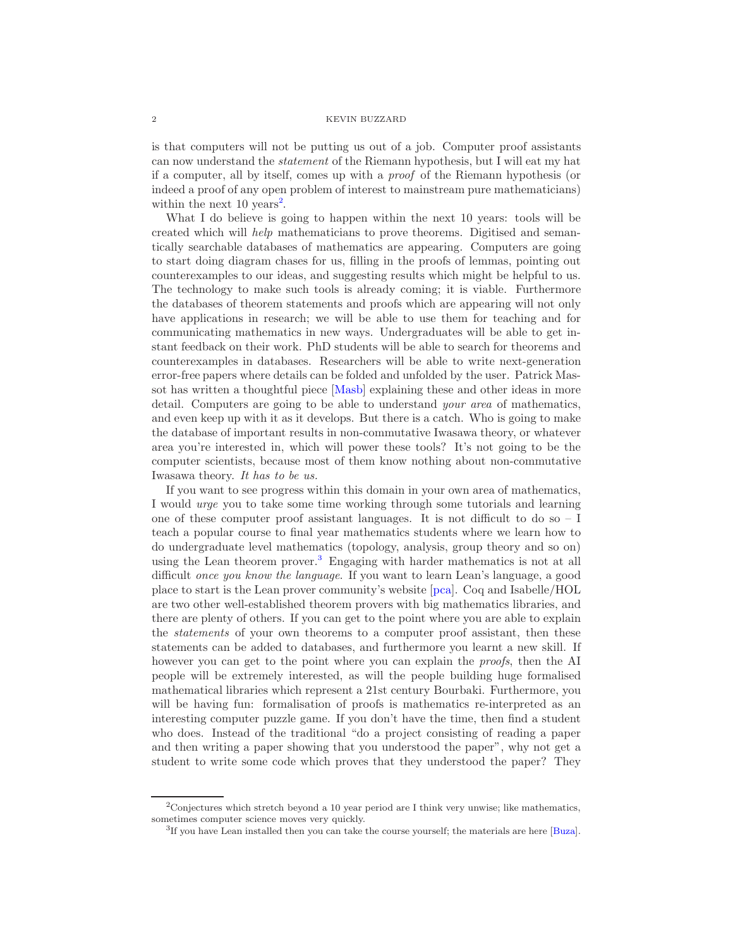is that computers will not be putting us out of a job. Computer proof assistants can now understand the statement of the Riemann hypothesis, but I will eat my hat if a computer, all by itself, comes up with a proof of the Riemann hypothesis (or indeed a proof of any open problem of interest to mainstream pure mathematicians) within the next  $10 \text{ years}^2$  $10 \text{ years}^2$ .

What I do believe is going to happen within the next 10 years: tools will be created which will help mathematicians to prove theorems. Digitised and semantically searchable databases of mathematics are appearing. Computers are going to start doing diagram chases for us, filling in the proofs of lemmas, pointing out counterexamples to our ideas, and suggesting results which might be helpful to us. The technology to make such tools is already coming; it is viable. Furthermore the databases of theorem statements and proofs which are appearing will not only have applications in research; we will be able to use them for teaching and for communicating mathematics in new ways. Undergraduates will be able to get instant feedback on their work. PhD students will be able to search for theorems and counterexamples in databases. Researchers will be able to write next-generation error-free papers where details can be folded and unfolded by the user. Patrick Massot has written a thoughtful piece [\[Masb\]](#page-26-0) explaining these and other ideas in more detail. Computers are going to be able to understand your area of mathematics, and even keep up with it as it develops. But there is a catch. Who is going to make the database of important results in non-commutative Iwasawa theory, or whatever area you're interested in, which will power these tools? It's not going to be the computer scientists, because most of them know nothing about non-commutative Iwasawa theory. It has to be us.

If you want to see progress within this domain in your own area of mathematics, I would urge you to take some time working through some tutorials and learning one of these computer proof assistant languages. It is not difficult to do so – I teach a popular course to final year mathematics students where we learn how to do undergraduate level mathematics (topology, analysis, group theory and so on) using the Lean theorem prover.[3](#page-1-1) Engaging with harder mathematics is not at all difficult once you know the language. If you want to learn Lean's language, a good place to start is the Lean prover community's website [\[pca\]](#page-26-1). Coq and Isabelle/HOL are two other well-established theorem provers with big mathematics libraries, and there are plenty of others. If you can get to the point where you are able to explain the statements of your own theorems to a computer proof assistant, then these statements can be added to databases, and furthermore you learnt a new skill. If however you can get to the point where you can explain the *proofs*, then the AI people will be extremely interested, as will the people building huge formalised mathematical libraries which represent a 21st century Bourbaki. Furthermore, you will be having fun: formalisation of proofs is mathematics re-interpreted as an interesting computer puzzle game. If you don't have the time, then find a student who does. Instead of the traditional "do a project consisting of reading a paper and then writing a paper showing that you understood the paper", why not get a student to write some code which proves that they understood the paper? They

<sup>&</sup>lt;sup>2</sup>Conjectures which stretch beyond a 10 year period are I think very unwise; like mathematics, sometimes computer science moves very quickly.

<span id="page-1-1"></span><span id="page-1-0"></span><sup>&</sup>lt;sup>3</sup>If you have Lean installed then you can take the course yourself; the materials are here [\[Buza\]](#page-24-1).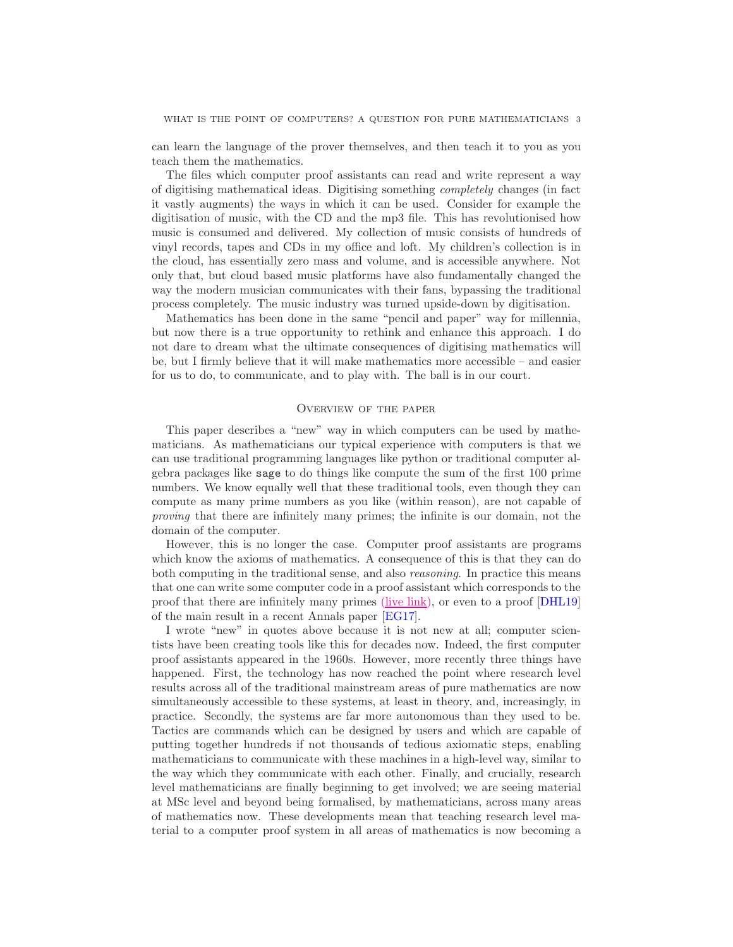can learn the language of the prover themselves, and then teach it to you as you teach them the mathematics.

The files which computer proof assistants can read and write represent a way of digitising mathematical ideas. Digitising something completely changes (in fact it vastly augments) the ways in which it can be used. Consider for example the digitisation of music, with the CD and the mp3 file. This has revolutionised how music is consumed and delivered. My collection of music consists of hundreds of vinyl records, tapes and CDs in my office and loft. My children's collection is in the cloud, has essentially zero mass and volume, and is accessible anywhere. Not only that, but cloud based music platforms have also fundamentally changed the way the modern musician communicates with their fans, bypassing the traditional process completely. The music industry was turned upside-down by digitisation.

Mathematics has been done in the same "pencil and paper" way for millennia, but now there is a true opportunity to rethink and enhance this approach. I do not dare to dream what the ultimate consequences of digitising mathematics will be, but I firmly believe that it will make mathematics more accessible – and easier for us to do, to communicate, and to play with. The ball is in our court.

## <span id="page-2-0"></span>Overview of the paper

This paper describes a "new" way in which computers can be used by mathematicians. As mathematicians our typical experience with computers is that we can use traditional programming languages like python or traditional computer algebra packages like sage to do things like compute the sum of the first 100 prime numbers. We know equally well that these traditional tools, even though they can compute as many prime numbers as you like (within reason), are not capable of proving that there are infinitely many primes; the infinite is our domain, not the domain of the computer.

However, this is no longer the case. Computer proof assistants are programs which know the axioms of mathematics. A consequence of this is that they can do both computing in the traditional sense, and also reasoning. In practice this means that one can write some computer code in a proof assistant which corresponds to the proof that there are infinitely many primes [\(live link\),](https://leanprover-community.github.io/lean-web-editor/#url=https%3A%2F%2Fraw.githubusercontent.com%2Fkbuzzard%2Fxena%2Fmaster%2Fsrc%2FICM%2Finfinitude_primes.lean) or even to a proof [\[DHL19\]](#page-24-2) of the main result in a recent Annals paper [\[EG17\]](#page-25-0).

I wrote "new" in quotes above because it is not new at all; computer scientists have been creating tools like this for decades now. Indeed, the first computer proof assistants appeared in the 1960s. However, more recently three things have happened. First, the technology has now reached the point where research level results across all of the traditional mainstream areas of pure mathematics are now simultaneously accessible to these systems, at least in theory, and, increasingly, in practice. Secondly, the systems are far more autonomous than they used to be. Tactics are commands which can be designed by users and which are capable of putting together hundreds if not thousands of tedious axiomatic steps, enabling mathematicians to communicate with these machines in a high-level way, similar to the way which they communicate with each other. Finally, and crucially, research level mathematicians are finally beginning to get involved; we are seeing material at MSc level and beyond being formalised, by mathematicians, across many areas of mathematics now. These developments mean that teaching research level material to a computer proof system in all areas of mathematics is now becoming a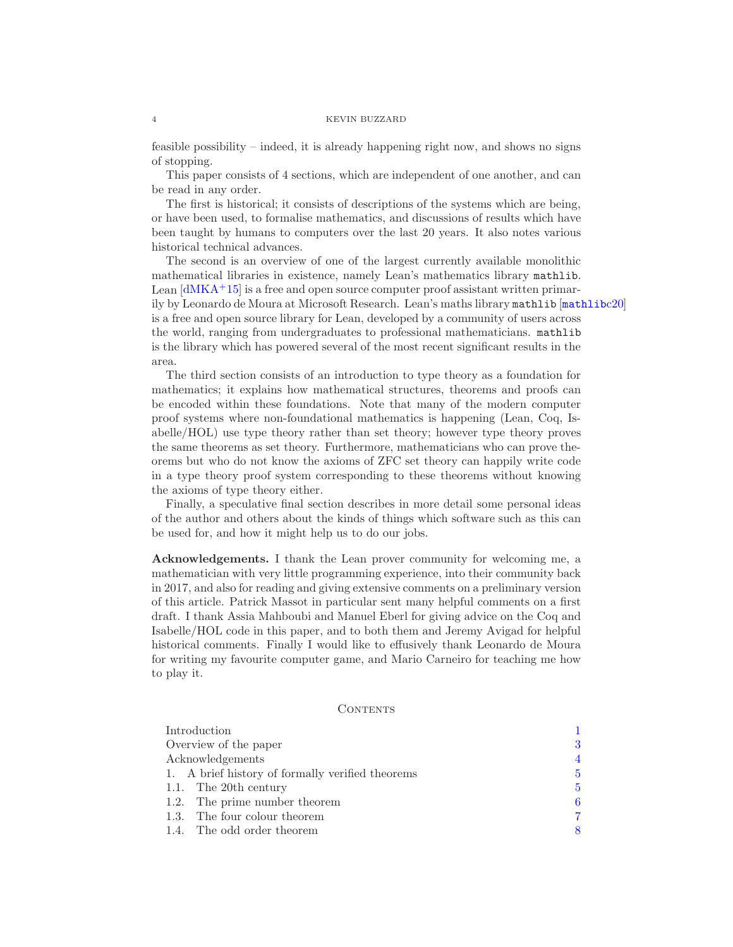feasible possibility – indeed, it is already happening right now, and shows no signs of stopping.

This paper consists of 4 sections, which are independent of one another, and can be read in any order.

The first is historical; it consists of descriptions of the systems which are being, or have been used, to formalise mathematics, and discussions of results which have been taught by humans to computers over the last 20 years. It also notes various historical technical advances.

The second is an overview of one of the largest currently available monolithic mathematical libraries in existence, namely Lean's mathematics library mathlib. Lean  $\left[\frac{dMKA+15}{\right]}$  is a free and open source computer proof assistant written primarily by Leonardo de Moura at Microsoft Research. Lean's maths library mathlib [[mathlib](#page-26-2)c20] is a free and open source library for Lean, developed by a community of users across the world, ranging from undergraduates to professional mathematicians. mathlib is the library which has powered several of the most recent significant results in the area.

The third section consists of an introduction to type theory as a foundation for mathematics; it explains how mathematical structures, theorems and proofs can be encoded within these foundations. Note that many of the modern computer proof systems where non-foundational mathematics is happening (Lean, Coq, Isabelle/HOL) use type theory rather than set theory; however type theory proves the same theorems as set theory. Furthermore, mathematicians who can prove theorems but who do not know the axioms of ZFC set theory can happily write code in a type theory proof system corresponding to these theorems without knowing the axioms of type theory either.

Finally, a speculative final section describes in more detail some personal ideas of the author and others about the kinds of things which software such as this can be used for, and how it might help us to do our jobs.

<span id="page-3-0"></span>Acknowledgements. I thank the Lean prover community for welcoming me, a mathematician with very little programming experience, into their community back in 2017, and also for reading and giving extensive comments on a preliminary version of this article. Patrick Massot in particular sent many helpful comments on a first draft. I thank Assia Mahboubi and Manuel Eberl for giving advice on the Coq and Isabelle/HOL code in this paper, and to both them and Jeremy Avigad for helpful historical comments. Finally I would like to effusively thank Leonardo de Moura for writing my favourite computer game, and Mario Carneiro for teaching me how to play it.

## CONTENTS

| Introduction                                     |                |
|--------------------------------------------------|----------------|
| Overview of the paper                            | 3              |
| Acknowledgements                                 | $\overline{4}$ |
| 1. A brief history of formally verified theorems | 5              |
| 1.1. The 20th century                            | 5              |
| 1.2. The prime number theorem                    | 6              |
| 1.3. The four colour theorem                     | 7              |
| 1.4. The odd order theorem                       | 8              |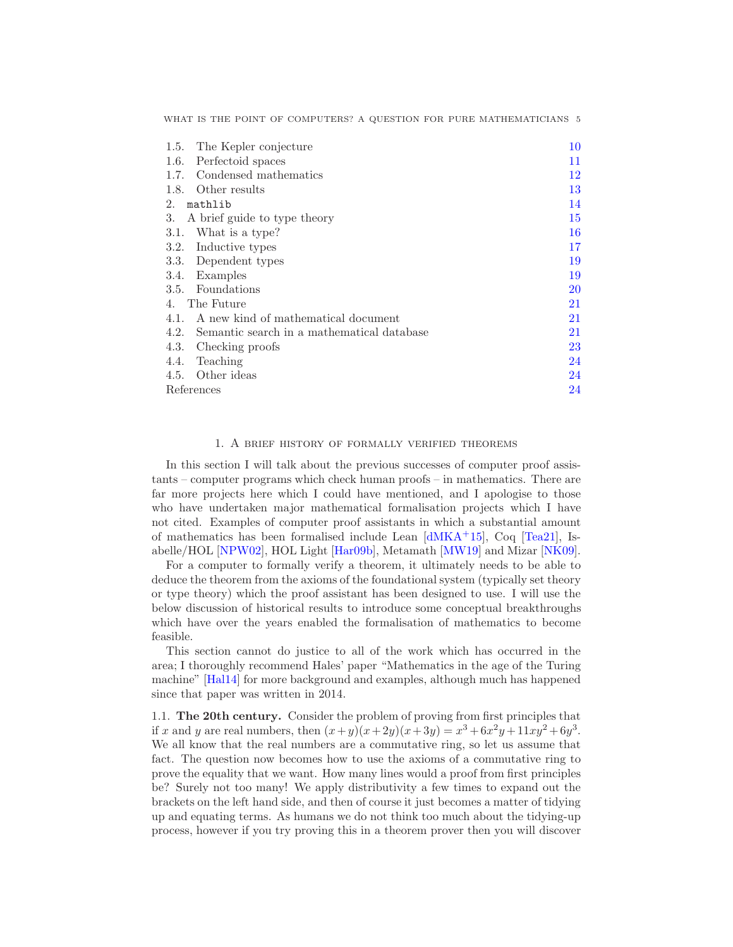| The Kepler conjecture<br>1.5.                      | 10 |
|----------------------------------------------------|----|
| Perfectoid spaces<br>1.6.                          | 11 |
| Condensed mathematics<br>1.7.                      | 12 |
| 1.8.<br>Other results                              | 13 |
| 2.<br>mathlib                                      | 14 |
| 3.<br>A brief guide to type theory                 | 15 |
| What is a type?<br>3.1.                            | 16 |
| 3.2.<br>Inductive types                            | 17 |
| Dependent types<br>3.3.                            | 19 |
| Examples<br>3.4.                                   | 19 |
| Foundations<br>3.5.                                | 20 |
| The Future<br>4.                                   | 21 |
| A new kind of mathematical document<br>4.1.        | 21 |
| 4.2.<br>Semantic search in a mathematical database | 21 |
| 4.3.<br>Checking proofs                            | 23 |
| Teaching<br>4.4.                                   | 24 |
| Other ideas<br>4.5.                                | 24 |
| References                                         | 24 |
|                                                    |    |

WHAT IS THE POINT OF COMPUTERS? A QUESTION FOR PURE MATHEMATICIANS 5

## 1. A brief history of formally verified theorems

<span id="page-4-0"></span>In this section I will talk about the previous successes of computer proof assistants – computer programs which check human proofs – in mathematics. There are far more projects here which I could have mentioned, and I apologise to those who have undertaken major mathematical formalisation projects which I have not cited. Examples of computer proof assistants in which a substantial amount of mathematics has been formalised include Lean [\[dMKA](#page-25-1)<sup>+</sup>15], Coq [\[Tea21\]](#page-27-0), Isabelle/HOL [\[NPW02\]](#page-26-3), HOL Light [\[Har09b\]](#page-25-2), Metamath [\[MW19\]](#page-26-4) and Mizar [\[NK09\]](#page-26-5).

For a computer to formally verify a theorem, it ultimately needs to be able to deduce the theorem from the axioms of the foundational system (typically set theory or type theory) which the proof assistant has been designed to use. I will use the below discussion of historical results to introduce some conceptual breakthroughs which have over the years enabled the formalisation of mathematics to become feasible.

This section cannot do justice to all of the work which has occurred in the area; I thoroughly recommend Hales' paper "Mathematics in the age of the Turing machine" [\[Hal14\]](#page-25-3) for more background and examples, although much has happened since that paper was written in 2014.

<span id="page-4-1"></span>1.1. The 20th century. Consider the problem of proving from first principles that if x and y are real numbers, then  $(x+y)(x+2y)(x+3y) = x^3 + 6x^2y + 11xy^2 + 6y^3$ . We all know that the real numbers are a commutative ring, so let us assume that fact. The question now becomes how to use the axioms of a commutative ring to prove the equality that we want. How many lines would a proof from first principles be? Surely not too many! We apply distributivity a few times to expand out the brackets on the left hand side, and then of course it just becomes a matter of tidying up and equating terms. As humans we do not think too much about the tidying-up process, however if you try proving this in a theorem prover then you will discover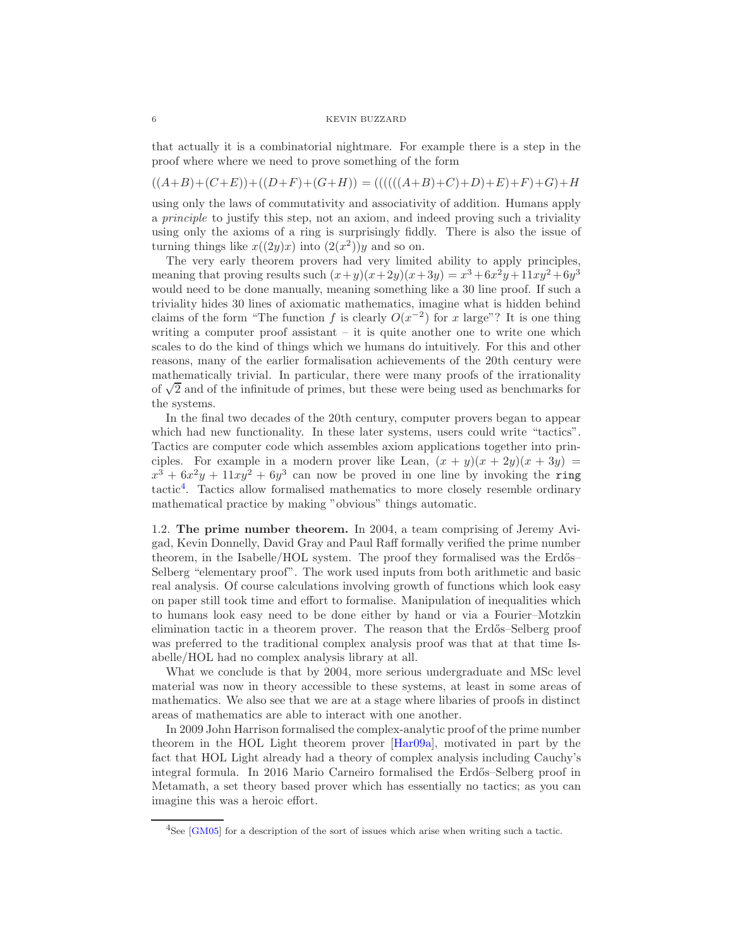that actually it is a combinatorial nightmare. For example there is a step in the proof where where we need to prove something of the form

$$
((A+B)+(C+E))+(D+F)+(G+H)) = (((((A+B)+C)+D)+E)+F)+G)+H
$$

using only the laws of commutativity and associativity of addition. Humans apply a principle to justify this step, not an axiom, and indeed proving such a triviality using only the axioms of a ring is surprisingly fiddly. There is also the issue of turning things like  $x((2y)x)$  into  $(2(x^2))y$  and so on.

The very early theorem provers had very limited ability to apply principles, meaning that proving results such  $(x+y)(x+2y)(x+3y) = x^3 + 6x^2y + 11xy^2 + 6y^3$ would need to be done manually, meaning something like a 30 line proof. If such a triviality hides 30 lines of axiomatic mathematics, imagine what is hidden behind claims of the form "The function f is clearly  $O(x^{-2})$  for x large"? It is one thing writing a computer proof assistant – it is quite another one to write one which scales to do the kind of things which we humans do intuitively. For this and other reasons, many of the earlier formalisation achievements of the 20th century were mathematically trivial. In particular, there were many proofs of the irrationality of  $\sqrt{2}$  and of the infinitude of primes, but these were being used as benchmarks for the systems.

In the final two decades of the 20th century, computer provers began to appear which had new functionality. In these later systems, users could write "tactics". Tactics are computer code which assembles axiom applications together into principles. For example in a modern prover like Lean,  $(x + y)(x + 2y)(x + 3y) =$  $x^3 + 6x^2y + 11xy^2 + 6y^3$  can now be proved in one line by invoking the ring tactic<sup>[4](#page-5-1)</sup>. Tactics allow formalised mathematics to more closely resemble ordinary mathematical practice by making "obvious" things automatic.

<span id="page-5-0"></span>1.2. The prime number theorem. In 2004, a team comprising of Jeremy Avigad, Kevin Donnelly, David Gray and Paul Raff formally verified the prime number theorem, in the Isabelle/HOL system. The proof they formalised was the Erdős– Selberg "elementary proof". The work used inputs from both arithmetic and basic real analysis. Of course calculations involving growth of functions which look easy on paper still took time and effort to formalise. Manipulation of inequalities which to humans look easy need to be done either by hand or via a Fourier–Motzkin elimination tactic in a theorem prover. The reason that the Erdős–Selberg proof was preferred to the traditional complex analysis proof was that at that time Isabelle/HOL had no complex analysis library at all.

What we conclude is that by 2004, more serious undergraduate and MSc level material was now in theory accessible to these systems, at least in some areas of mathematics. We also see that we are at a stage where libaries of proofs in distinct areas of mathematics are able to interact with one another.

In 2009 John Harrison formalised the complex-analytic proof of the prime number theorem in the HOL Light theorem prover [\[Har09a\]](#page-25-4), motivated in part by the fact that HOL Light already had a theory of complex analysis including Cauchy's integral formula. In 2016 Mario Carneiro formalised the Erdős–Selberg proof in Metamath, a set theory based prover which has essentially no tactics; as you can imagine this was a heroic effort.

<span id="page-5-1"></span><sup>&</sup>lt;sup>4</sup>See [\[GM05\]](#page-25-5) for a description of the sort of issues which arise when writing such a tactic.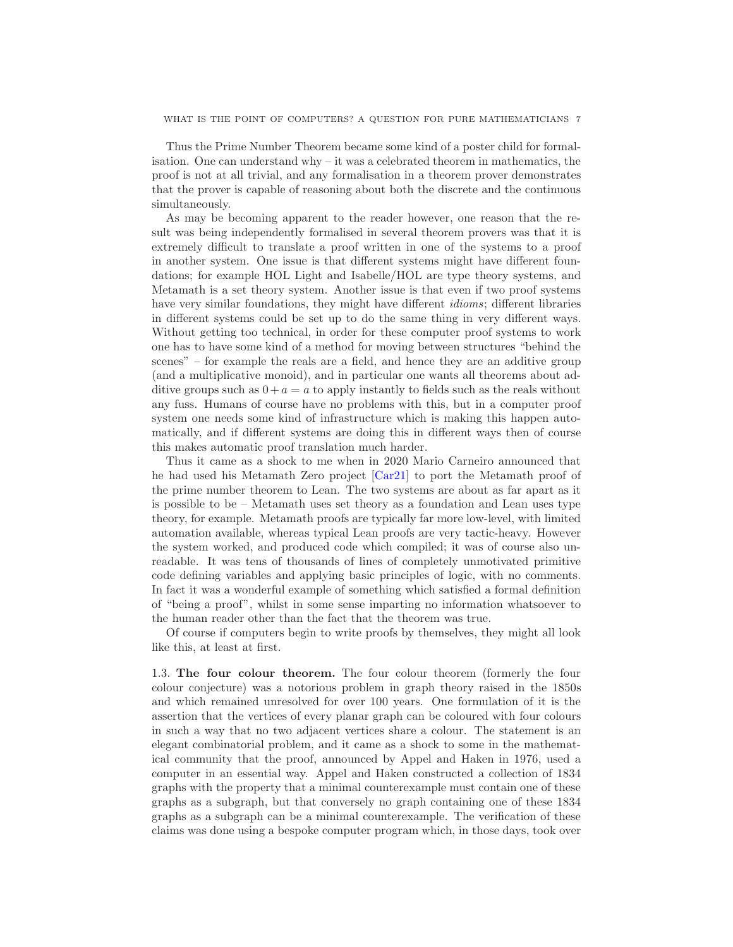Thus the Prime Number Theorem became some kind of a poster child for formalisation. One can understand why – it was a celebrated theorem in mathematics, the proof is not at all trivial, and any formalisation in a theorem prover demonstrates that the prover is capable of reasoning about both the discrete and the continuous simultaneously.

As may be becoming apparent to the reader however, one reason that the result was being independently formalised in several theorem provers was that it is extremely difficult to translate a proof written in one of the systems to a proof in another system. One issue is that different systems might have different foundations; for example HOL Light and Isabelle/HOL are type theory systems, and Metamath is a set theory system. Another issue is that even if two proof systems have very similar foundations, they might have different idioms; different libraries in different systems could be set up to do the same thing in very different ways. Without getting too technical, in order for these computer proof systems to work one has to have some kind of a method for moving between structures "behind the scenes" – for example the reals are a field, and hence they are an additive group (and a multiplicative monoid), and in particular one wants all theorems about additive groups such as  $0 + a = a$  to apply instantly to fields such as the reals without any fuss. Humans of course have no problems with this, but in a computer proof system one needs some kind of infrastructure which is making this happen automatically, and if different systems are doing this in different ways then of course this makes automatic proof translation much harder.

Thus it came as a shock to me when in 2020 Mario Carneiro announced that he had used his Metamath Zero project [\[Car21\]](#page-24-3) to port the Metamath proof of the prime number theorem to Lean. The two systems are about as far apart as it is possible to be – Metamath uses set theory as a foundation and Lean uses type theory, for example. Metamath proofs are typically far more low-level, with limited automation available, whereas typical Lean proofs are very tactic-heavy. However the system worked, and produced code which compiled; it was of course also unreadable. It was tens of thousands of lines of completely unmotivated primitive code defining variables and applying basic principles of logic, with no comments. In fact it was a wonderful example of something which satisfied a formal definition of "being a proof", whilst in some sense imparting no information whatsoever to the human reader other than the fact that the theorem was true.

Of course if computers begin to write proofs by themselves, they might all look like this, at least at first.

<span id="page-6-0"></span>1.3. The four colour theorem. The four colour theorem (formerly the four colour conjecture) was a notorious problem in graph theory raised in the 1850s and which remained unresolved for over 100 years. One formulation of it is the assertion that the vertices of every planar graph can be coloured with four colours in such a way that no two adjacent vertices share a colour. The statement is an elegant combinatorial problem, and it came as a shock to some in the mathematical community that the proof, announced by Appel and Haken in 1976, used a computer in an essential way. Appel and Haken constructed a collection of 1834 graphs with the property that a minimal counterexample must contain one of these graphs as a subgraph, but that conversely no graph containing one of these 1834 graphs as a subgraph can be a minimal counterexample. The verification of these claims was done using a bespoke computer program which, in those days, took over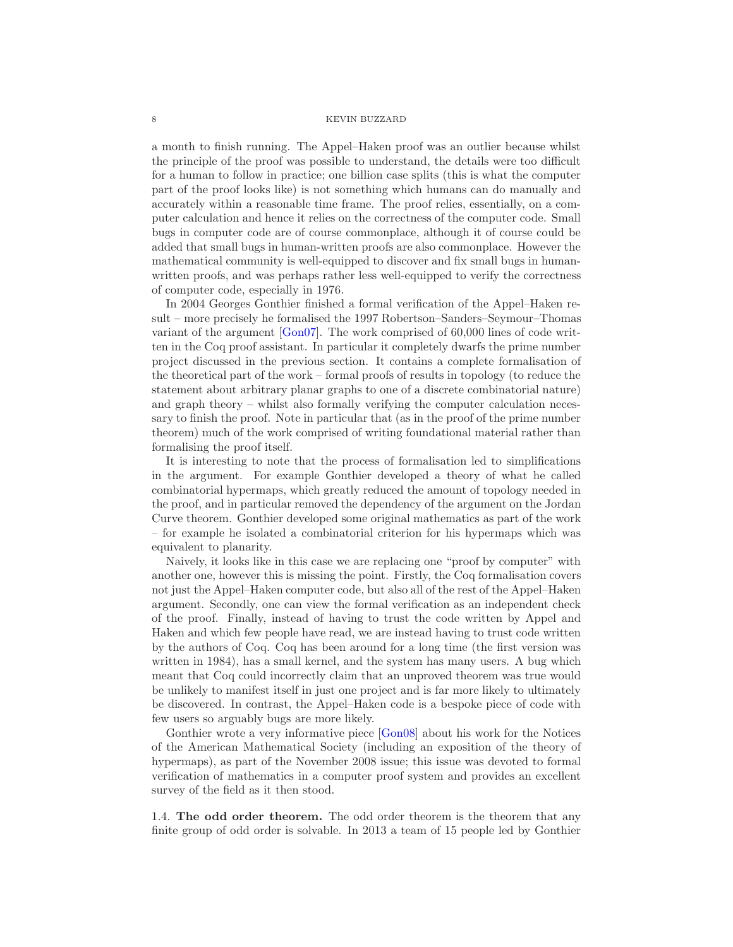a month to finish running. The Appel–Haken proof was an outlier because whilst the principle of the proof was possible to understand, the details were too difficult for a human to follow in practice; one billion case splits (this is what the computer part of the proof looks like) is not something which humans can do manually and accurately within a reasonable time frame. The proof relies, essentially, on a computer calculation and hence it relies on the correctness of the computer code. Small bugs in computer code are of course commonplace, although it of course could be added that small bugs in human-written proofs are also commonplace. However the mathematical community is well-equipped to discover and fix small bugs in humanwritten proofs, and was perhaps rather less well-equipped to verify the correctness of computer code, especially in 1976.

In 2004 Georges Gonthier finished a formal verification of the Appel–Haken result – more precisely he formalised the 1997 Robertson–Sanders–Seymour–Thomas variant of the argument [\[Gon07\]](#page-25-6). The work comprised of 60,000 lines of code written in the Coq proof assistant. In particular it completely dwarfs the prime number project discussed in the previous section. It contains a complete formalisation of the theoretical part of the work – formal proofs of results in topology (to reduce the statement about arbitrary planar graphs to one of a discrete combinatorial nature) and graph theory – whilst also formally verifying the computer calculation necessary to finish the proof. Note in particular that (as in the proof of the prime number theorem) much of the work comprised of writing foundational material rather than formalising the proof itself.

It is interesting to note that the process of formalisation led to simplifications in the argument. For example Gonthier developed a theory of what he called combinatorial hypermaps, which greatly reduced the amount of topology needed in the proof, and in particular removed the dependency of the argument on the Jordan Curve theorem. Gonthier developed some original mathematics as part of the work – for example he isolated a combinatorial criterion for his hypermaps which was equivalent to planarity.

Naively, it looks like in this case we are replacing one "proof by computer" with another one, however this is missing the point. Firstly, the Coq formalisation covers not just the Appel–Haken computer code, but also all of the rest of the Appel–Haken argument. Secondly, one can view the formal verification as an independent check of the proof. Finally, instead of having to trust the code written by Appel and Haken and which few people have read, we are instead having to trust code written by the authors of Coq. Coq has been around for a long time (the first version was written in 1984), has a small kernel, and the system has many users. A bug which meant that Coq could incorrectly claim that an unproved theorem was true would be unlikely to manifest itself in just one project and is far more likely to ultimately be discovered. In contrast, the Appel–Haken code is a bespoke piece of code with few users so arguably bugs are more likely.

Gonthier wrote a very informative piece [\[Gon08\]](#page-25-7) about his work for the Notices of the American Mathematical Society (including an exposition of the theory of hypermaps), as part of the November 2008 issue; this issue was devoted to formal verification of mathematics in a computer proof system and provides an excellent survey of the field as it then stood.

<span id="page-7-0"></span>1.4. The odd order theorem. The odd order theorem is the theorem that any finite group of odd order is solvable. In 2013 a team of 15 people led by Gonthier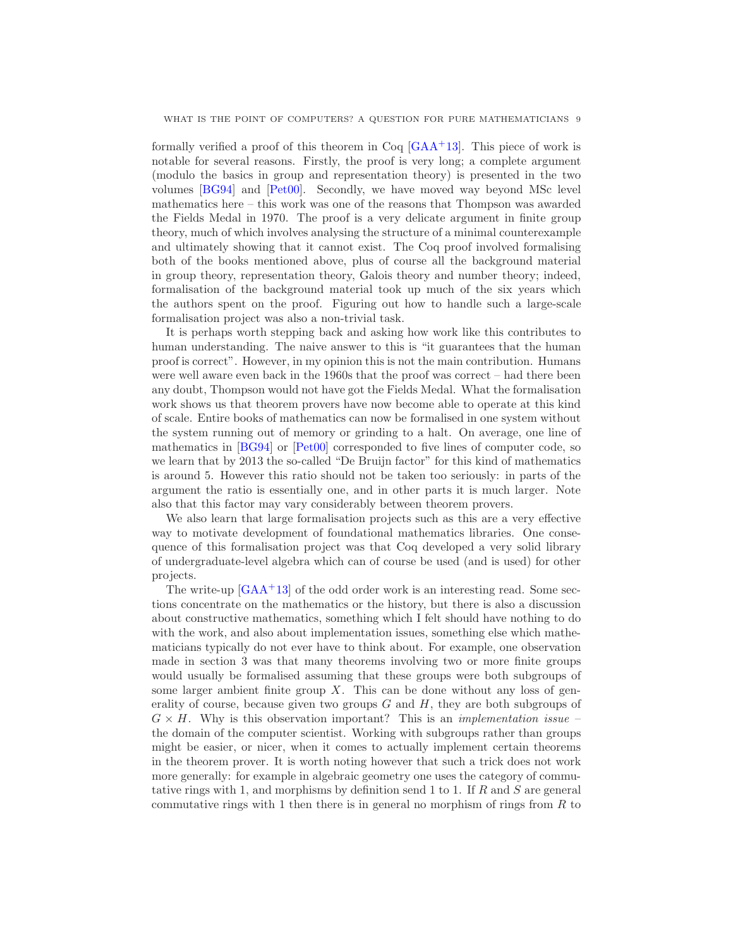formally verified a proof of this theorem in  $\text{Coq}$  [\[GAA](#page-25-8)<sup>+</sup>13]. This piece of work is notable for several reasons. Firstly, the proof is very long; a complete argument (modulo the basics in group and representation theory) is presented in the two volumes [\[BG94\]](#page-24-4) and [\[Pet00\]](#page-27-1). Secondly, we have moved way beyond MSc level mathematics here – this work was one of the reasons that Thompson was awarded the Fields Medal in 1970. The proof is a very delicate argument in finite group theory, much of which involves analysing the structure of a minimal counterexample and ultimately showing that it cannot exist. The Coq proof involved formalising both of the books mentioned above, plus of course all the background material in group theory, representation theory, Galois theory and number theory; indeed, formalisation of the background material took up much of the six years which the authors spent on the proof. Figuring out how to handle such a large-scale formalisation project was also a non-trivial task.

It is perhaps worth stepping back and asking how work like this contributes to human understanding. The naive answer to this is "it guarantees that the human proof is correct". However, in my opinion this is not the main contribution. Humans were well aware even back in the 1960s that the proof was correct – had there been any doubt, Thompson would not have got the Fields Medal. What the formalisation work shows us that theorem provers have now become able to operate at this kind of scale. Entire books of mathematics can now be formalised in one system without the system running out of memory or grinding to a halt. On average, one line of mathematics in [\[BG94\]](#page-24-4) or [\[Pet00\]](#page-27-1) corresponded to five lines of computer code, so we learn that by 2013 the so-called "De Bruijn factor" for this kind of mathematics is around 5. However this ratio should not be taken too seriously: in parts of the argument the ratio is essentially one, and in other parts it is much larger. Note also that this factor may vary considerably between theorem provers.

We also learn that large formalisation projects such as this are a very effective way to motivate development of foundational mathematics libraries. One consequence of this formalisation project was that Coq developed a very solid library of undergraduate-level algebra which can of course be used (and is used) for other projects.

The write-up  $[GAA^+13]$  of the odd order work is an interesting read. Some sections concentrate on the mathematics or the history, but there is also a discussion about constructive mathematics, something which I felt should have nothing to do with the work, and also about implementation issues, something else which mathematicians typically do not ever have to think about. For example, one observation made in section 3 was that many theorems involving two or more finite groups would usually be formalised assuming that these groups were both subgroups of some larger ambient finite group  $X$ . This can be done without any loss of generality of course, because given two groups  $G$  and  $H$ , they are both subgroups of  $G \times H$ . Why is this observation important? This is an *implementation issue* – the domain of the computer scientist. Working with subgroups rather than groups might be easier, or nicer, when it comes to actually implement certain theorems in the theorem prover. It is worth noting however that such a trick does not work more generally: for example in algebraic geometry one uses the category of commutative rings with 1, and morphisms by definition send 1 to 1. If  $R$  and  $S$  are general commutative rings with 1 then there is in general no morphism of rings from  $R$  to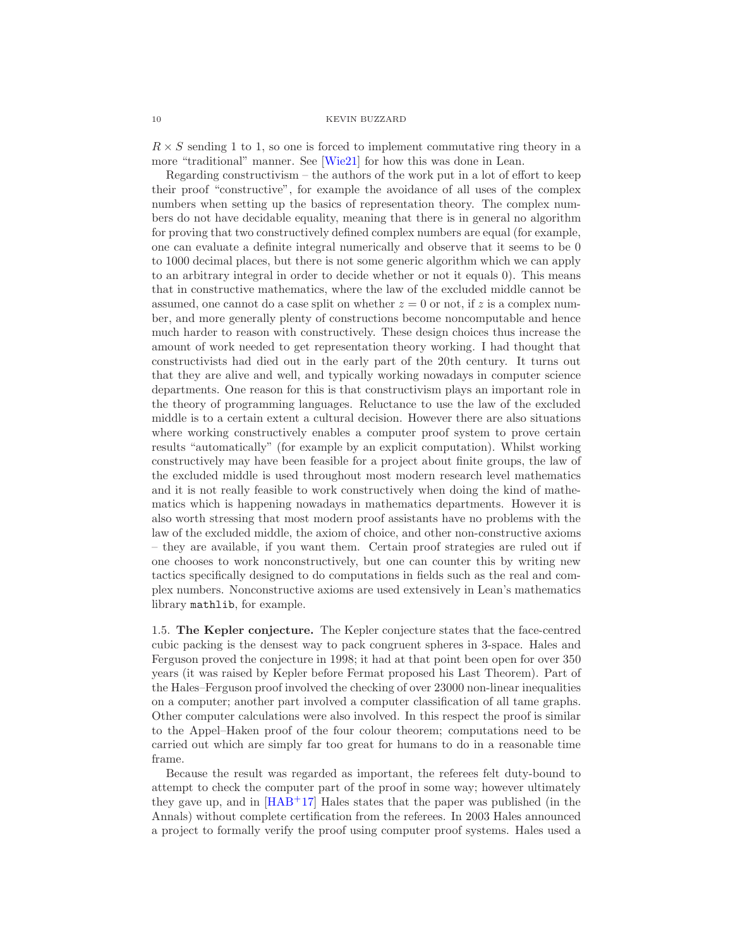$R \times S$  sending 1 to 1, so one is forced to implement commutative ring theory in a more "traditional" manner. See [\[Wie21\]](#page-27-2) for how this was done in Lean.

Regarding constructivism – the authors of the work put in a lot of effort to keep their proof "constructive", for example the avoidance of all uses of the complex numbers when setting up the basics of representation theory. The complex numbers do not have decidable equality, meaning that there is in general no algorithm for proving that two constructively defined complex numbers are equal (for example, one can evaluate a definite integral numerically and observe that it seems to be 0 to 1000 decimal places, but there is not some generic algorithm which we can apply to an arbitrary integral in order to decide whether or not it equals 0). This means that in constructive mathematics, where the law of the excluded middle cannot be assumed, one cannot do a case split on whether  $z = 0$  or not, if z is a complex number, and more generally plenty of constructions become noncomputable and hence much harder to reason with constructively. These design choices thus increase the amount of work needed to get representation theory working. I had thought that constructivists had died out in the early part of the 20th century. It turns out that they are alive and well, and typically working nowadays in computer science departments. One reason for this is that constructivism plays an important role in the theory of programming languages. Reluctance to use the law of the excluded middle is to a certain extent a cultural decision. However there are also situations where working constructively enables a computer proof system to prove certain results "automatically" (for example by an explicit computation). Whilst working constructively may have been feasible for a project about finite groups, the law of the excluded middle is used throughout most modern research level mathematics and it is not really feasible to work constructively when doing the kind of mathematics which is happening nowadays in mathematics departments. However it is also worth stressing that most modern proof assistants have no problems with the law of the excluded middle, the axiom of choice, and other non-constructive axioms – they are available, if you want them. Certain proof strategies are ruled out if one chooses to work nonconstructively, but one can counter this by writing new tactics specifically designed to do computations in fields such as the real and complex numbers. Nonconstructive axioms are used extensively in Lean's mathematics library mathlib, for example.

<span id="page-9-0"></span>1.5. The Kepler conjecture. The Kepler conjecture states that the face-centred cubic packing is the densest way to pack congruent spheres in 3-space. Hales and Ferguson proved the conjecture in 1998; it had at that point been open for over 350 years (it was raised by Kepler before Fermat proposed his Last Theorem). Part of the Hales–Ferguson proof involved the checking of over 23000 non-linear inequalities on a computer; another part involved a computer classification of all tame graphs. Other computer calculations were also involved. In this respect the proof is similar to the Appel–Haken proof of the four colour theorem; computations need to be carried out which are simply far too great for humans to do in a reasonable time frame.

Because the result was regarded as important, the referees felt duty-bound to attempt to check the computer part of the proof in some way; however ultimately they gave up, and in  $[HAB+17]$  Hales states that the paper was published (in the Annals) without complete certification from the referees. In 2003 Hales announced a project to formally verify the proof using computer proof systems. Hales used a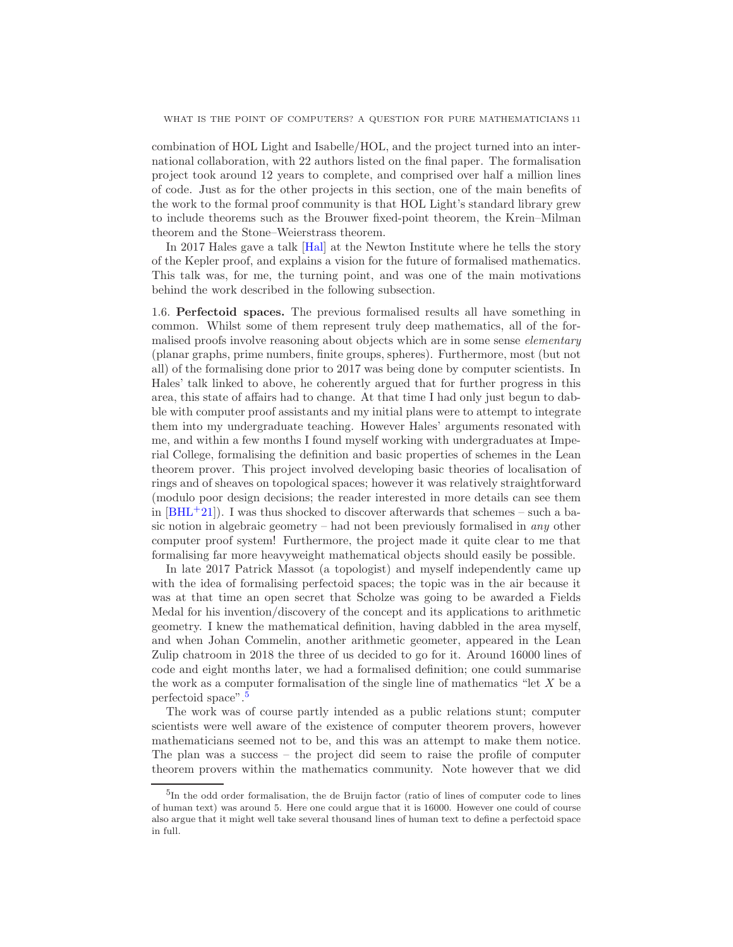combination of HOL Light and Isabelle/HOL, and the project turned into an international collaboration, with 22 authors listed on the final paper. The formalisation project took around 12 years to complete, and comprised over half a million lines of code. Just as for the other projects in this section, one of the main benefits of the work to the formal proof community is that HOL Light's standard library grew to include theorems such as the Brouwer fixed-point theorem, the Krein–Milman theorem and the Stone–Weierstrass theorem.

In 2017 Hales gave a talk [\[Hal\]](#page-25-10) at the Newton Institute where he tells the story of the Kepler proof, and explains a vision for the future of formalised mathematics. This talk was, for me, the turning point, and was one of the main motivations behind the work described in the following subsection.

<span id="page-10-0"></span>1.6. Perfectoid spaces. The previous formalised results all have something in common. Whilst some of them represent truly deep mathematics, all of the formalised proofs involve reasoning about objects which are in some sense *elementary* (planar graphs, prime numbers, finite groups, spheres). Furthermore, most (but not all) of the formalising done prior to 2017 was being done by computer scientists. In Hales' talk linked to above, he coherently argued that for further progress in this area, this state of affairs had to change. At that time I had only just begun to dabble with computer proof assistants and my initial plans were to attempt to integrate them into my undergraduate teaching. However Hales' arguments resonated with me, and within a few months I found myself working with undergraduates at Imperial College, formalising the definition and basic properties of schemes in the Lean theorem prover. This project involved developing basic theories of localisation of rings and of sheaves on topological spaces; however it was relatively straightforward (modulo poor design decisions; the reader interested in more details can see them in  $[BHL^+21]$ . I was thus shocked to discover afterwards that schemes – such a basic notion in algebraic geometry – had not been previously formalised in *any* other computer proof system! Furthermore, the project made it quite clear to me that formalising far more heavyweight mathematical objects should easily be possible.

In late 2017 Patrick Massot (a topologist) and myself independently came up with the idea of formalising perfectoid spaces; the topic was in the air because it was at that time an open secret that Scholze was going to be awarded a Fields Medal for his invention/discovery of the concept and its applications to arithmetic geometry. I knew the mathematical definition, having dabbled in the area myself, and when Johan Commelin, another arithmetic geometer, appeared in the Lean Zulip chatroom in 2018 the three of us decided to go for it. Around 16000 lines of code and eight months later, we had a formalised definition; one could summarise the work as a computer formalisation of the single line of mathematics "let  $X$  be a perfectoid space".[5](#page-10-1)

The work was of course partly intended as a public relations stunt; computer scientists were well aware of the existence of computer theorem provers, however mathematicians seemed not to be, and this was an attempt to make them notice. The plan was a success – the project did seem to raise the profile of computer theorem provers within the mathematics community. Note however that we did

<span id="page-10-1"></span><sup>5</sup> In the odd order formalisation, the de Bruijn factor (ratio of lines of computer code to lines of human text) was around 5. Here one could argue that it is 16000. However one could of course also argue that it might well take several thousand lines of human text to define a perfectoid space in full.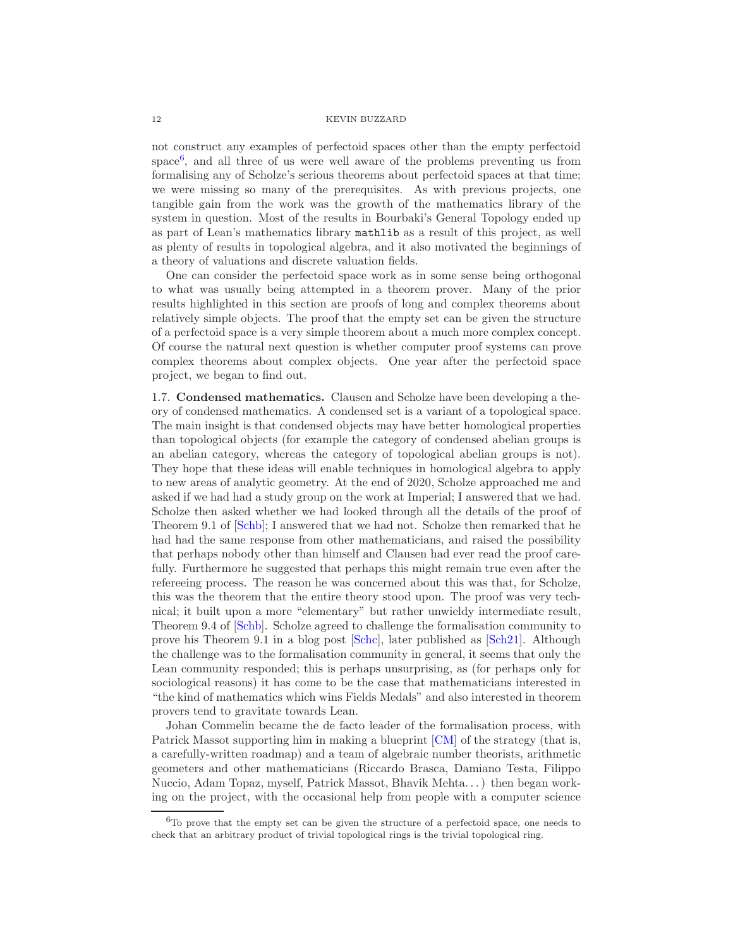not construct any examples of perfectoid spaces other than the empty perfectoid space<sup>[6](#page-11-1)</sup>, and all three of us were well aware of the problems preventing us from formalising any of Scholze's serious theorems about perfectoid spaces at that time; we were missing so many of the prerequisites. As with previous projects, one tangible gain from the work was the growth of the mathematics library of the system in question. Most of the results in Bourbaki's General Topology ended up as part of Lean's mathematics library mathlib as a result of this project, as well as plenty of results in topological algebra, and it also motivated the beginnings of a theory of valuations and discrete valuation fields.

One can consider the perfectoid space work as in some sense being orthogonal to what was usually being attempted in a theorem prover. Many of the prior results highlighted in this section are proofs of long and complex theorems about relatively simple objects. The proof that the empty set can be given the structure of a perfectoid space is a very simple theorem about a much more complex concept. Of course the natural next question is whether computer proof systems can prove complex theorems about complex objects. One year after the perfectoid space project, we began to find out.

<span id="page-11-0"></span>1.7. Condensed mathematics. Clausen and Scholze have been developing a theory of condensed mathematics. A condensed set is a variant of a topological space. The main insight is that condensed objects may have better homological properties than topological objects (for example the category of condensed abelian groups is an abelian category, whereas the category of topological abelian groups is not). They hope that these ideas will enable techniques in homological algebra to apply to new areas of analytic geometry. At the end of 2020, Scholze approached me and asked if we had had a study group on the work at Imperial; I answered that we had. Scholze then asked whether we had looked through all the details of the proof of Theorem 9.1 of [\[Schb\]](#page-27-3); I answered that we had not. Scholze then remarked that he had had the same response from other mathematicians, and raised the possibility that perhaps nobody other than himself and Clausen had ever read the proof carefully. Furthermore he suggested that perhaps this might remain true even after the refereeing process. The reason he was concerned about this was that, for Scholze, this was the theorem that the entire theory stood upon. The proof was very technical; it built upon a more "elementary" but rather unwieldy intermediate result, Theorem 9.4 of [\[Schb\]](#page-27-3). Scholze agreed to challenge the formalisation community to prove his Theorem 9.1 in a blog post [\[Schc\]](#page-27-4), later published as [\[Sch21\]](#page-27-5). Although the challenge was to the formalisation community in general, it seems that only the Lean community responded; this is perhaps unsurprising, as (for perhaps only for sociological reasons) it has come to be the case that mathematicians interested in "the kind of mathematics which wins Fields Medals" and also interested in theorem provers tend to gravitate towards Lean.

Johan Commelin became the de facto leader of the formalisation process, with Patrick Massot supporting him in making a blueprint [\[CM\]](#page-24-6) of the strategy (that is, a carefully-written roadmap) and a team of algebraic number theorists, arithmetic geometers and other mathematicians (Riccardo Brasca, Damiano Testa, Filippo Nuccio, Adam Topaz, myself, Patrick Massot, Bhavik Mehta. . . ) then began working on the project, with the occasional help from people with a computer science

<span id="page-11-1"></span><sup>6</sup>To prove that the empty set can be given the structure of a perfectoid space, one needs to check that an arbitrary product of trivial topological rings is the trivial topological ring.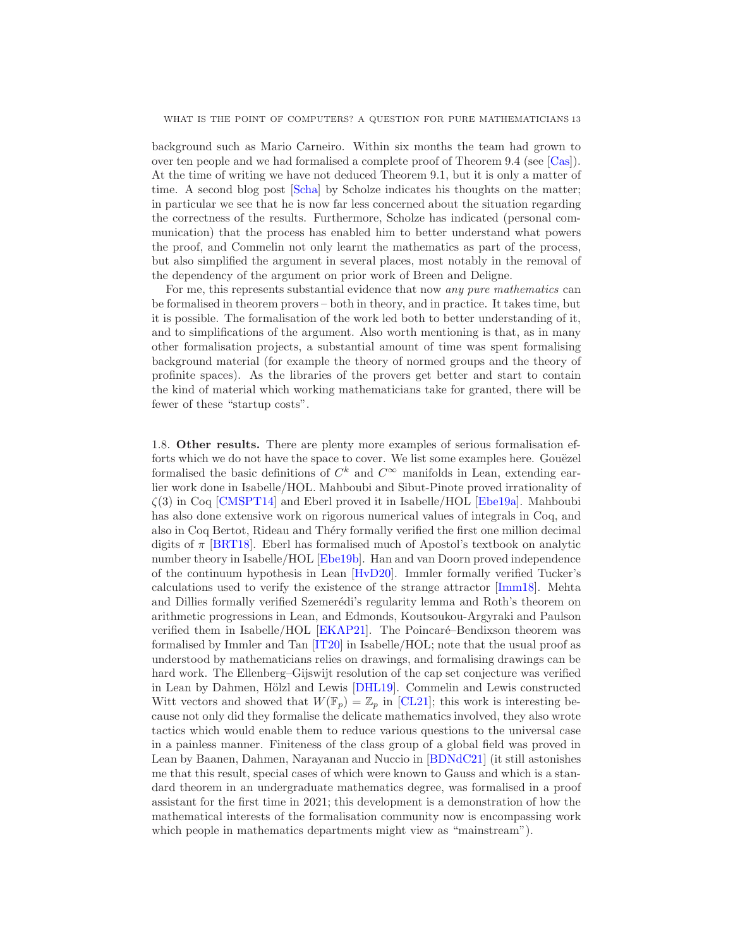background such as Mario Carneiro. Within six months the team had grown to over ten people and we had formalised a complete proof of Theorem 9.4 (see [\[Cas\]](#page-24-7)). At the time of writing we have not deduced Theorem 9.1, but it is only a matter of time. A second blog post [\[Scha\]](#page-27-6) by Scholze indicates his thoughts on the matter; in particular we see that he is now far less concerned about the situation regarding the correctness of the results. Furthermore, Scholze has indicated (personal communication) that the process has enabled him to better understand what powers the proof, and Commelin not only learnt the mathematics as part of the process, but also simplified the argument in several places, most notably in the removal of the dependency of the argument on prior work of Breen and Deligne.

For me, this represents substantial evidence that now any pure mathematics can be formalised in theorem provers – both in theory, and in practice. It takes time, but it is possible. The formalisation of the work led both to better understanding of it, and to simplifications of the argument. Also worth mentioning is that, as in many other formalisation projects, a substantial amount of time was spent formalising background material (for example the theory of normed groups and the theory of profinite spaces). As the libraries of the provers get better and start to contain the kind of material which working mathematicians take for granted, there will be fewer of these "startup costs".

<span id="page-12-0"></span>1.8. Other results. There are plenty more examples of serious formalisation efforts which we do not have the space to cover. We list some examples here. Gouëzel formalised the basic definitions of  $C^k$  and  $C^{\infty}$  manifolds in Lean, extending earlier work done in Isabelle/HOL. Mahboubi and Sibut-Pinote proved irrationality of  $\zeta(3)$  in Coq [\[CMSPT14\]](#page-24-8) and Eberl proved it in Isabelle/HOL [\[Ebe19a\]](#page-25-11). Mahboubi has also done extensive work on rigorous numerical values of integrals in Coq, and also in Coq Bertot, Rideau and Théry formally verified the first one million decimal digits of  $\pi$  [\[BRT18\]](#page-24-9). Eberl has formalised much of Apostol's textbook on analytic number theory in Isabelle/HOL [\[Ebe19b\]](#page-25-12). Han and van Doorn proved independence of the continuum hypothesis in Lean [\[HvD20\]](#page-25-13). Immler formally verified Tucker's calculations used to verify the existence of the strange attractor [\[Imm18\]](#page-26-6). Mehta and Dillies formally verified Szemerédi's regularity lemma and Roth's theorem on arithmetic progressions in Lean, and Edmonds, Koutsoukou-Argyraki and Paulson verified them in Isabelle/HOL  $[EKAP21]$ . The Poincaré–Bendixson theorem was formalised by Immler and Tan [\[IT20\]](#page-26-7) in Isabelle/HOL; note that the usual proof as understood by mathematicians relies on drawings, and formalising drawings can be hard work. The Ellenberg–Gijswijt resolution of the cap set conjecture was verified in Lean by Dahmen, Hölzl and Lewis [\[DHL19\]](#page-24-2). Commelin and Lewis constructed Witt vectors and showed that  $W(\mathbb{F}_p) = \mathbb{Z}_p$  in [\[CL21\]](#page-24-10); this work is interesting because not only did they formalise the delicate mathematics involved, they also wrote tactics which would enable them to reduce various questions to the universal case in a painless manner. Finiteness of the class group of a global field was proved in Lean by Baanen, Dahmen, Narayanan and Nuccio in [\[BDNdC21\]](#page-24-11) (it still astonishes me that this result, special cases of which were known to Gauss and which is a standard theorem in an undergraduate mathematics degree, was formalised in a proof assistant for the first time in 2021; this development is a demonstration of how the mathematical interests of the formalisation community now is encompassing work which people in mathematics departments might view as "mainstream").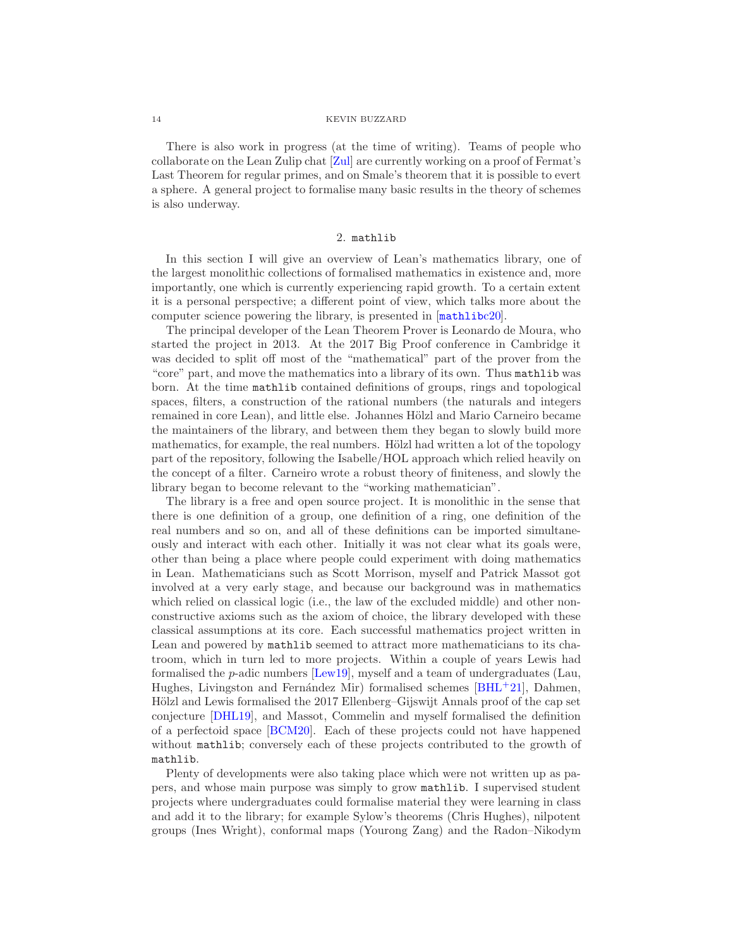There is also work in progress (at the time of writing). Teams of people who collaborate on the Lean Zulip chat [\[Zul\]](#page-27-7) are currently working on a proof of Fermat's Last Theorem for regular primes, and on Smale's theorem that it is possible to evert a sphere. A general project to formalise many basic results in the theory of schemes is also underway.

# 2. mathlib

<span id="page-13-0"></span>In this section I will give an overview of Lean's mathematics library, one of the largest monolithic collections of formalised mathematics in existence and, more importantly, one which is currently experiencing rapid growth. To a certain extent it is a personal perspective; a different point of view, which talks more about the computer science powering the library, is presented in  $[\text{mathblock>20}].$ 

The principal developer of the Lean Theorem Prover is Leonardo de Moura, who started the project in 2013. At the 2017 Big Proof conference in Cambridge it was decided to split off most of the "mathematical" part of the prover from the "core" part, and move the mathematics into a library of its own. Thus mathlib was born. At the time mathlib contained definitions of groups, rings and topological spaces, filters, a construction of the rational numbers (the naturals and integers remained in core Lean), and little else. Johannes Hölzl and Mario Carneiro became the maintainers of the library, and between them they began to slowly build more mathematics, for example, the real numbers. Hölzl had written a lot of the topology part of the repository, following the Isabelle/HOL approach which relied heavily on the concept of a filter. Carneiro wrote a robust theory of finiteness, and slowly the library began to become relevant to the "working mathematician".

The library is a free and open source project. It is monolithic in the sense that there is one definition of a group, one definition of a ring, one definition of the real numbers and so on, and all of these definitions can be imported simultaneously and interact with each other. Initially it was not clear what its goals were, other than being a place where people could experiment with doing mathematics in Lean. Mathematicians such as Scott Morrison, myself and Patrick Massot got involved at a very early stage, and because our background was in mathematics which relied on classical logic (i.e., the law of the excluded middle) and other nonconstructive axioms such as the axiom of choice, the library developed with these classical assumptions at its core. Each successful mathematics project written in Lean and powered by mathlib seemed to attract more mathematicians to its chatroom, which in turn led to more projects. Within a couple of years Lewis had formalised the p-adic numbers [\[Lew19\]](#page-26-8), myself and a team of undergraduates (Lau, Hughes, Livingston and Fernández Mir) formalised schemes  $[BHL^+21]$ , Dahmen, Hölzl and Lewis formalised the 2017 Ellenberg–Gijswijt Annals proof of the cap set conjecture [\[DHL19\]](#page-24-2), and Massot, Commelin and myself formalised the definition of a perfectoid space [\[BCM20\]](#page-23-3). Each of these projects could not have happened without mathlib; conversely each of these projects contributed to the growth of mathlib.

Plenty of developments were also taking place which were not written up as papers, and whose main purpose was simply to grow mathlib. I supervised student projects where undergraduates could formalise material they were learning in class and add it to the library; for example Sylow's theorems (Chris Hughes), nilpotent groups (Ines Wright), conformal maps (Yourong Zang) and the Radon–Nikodym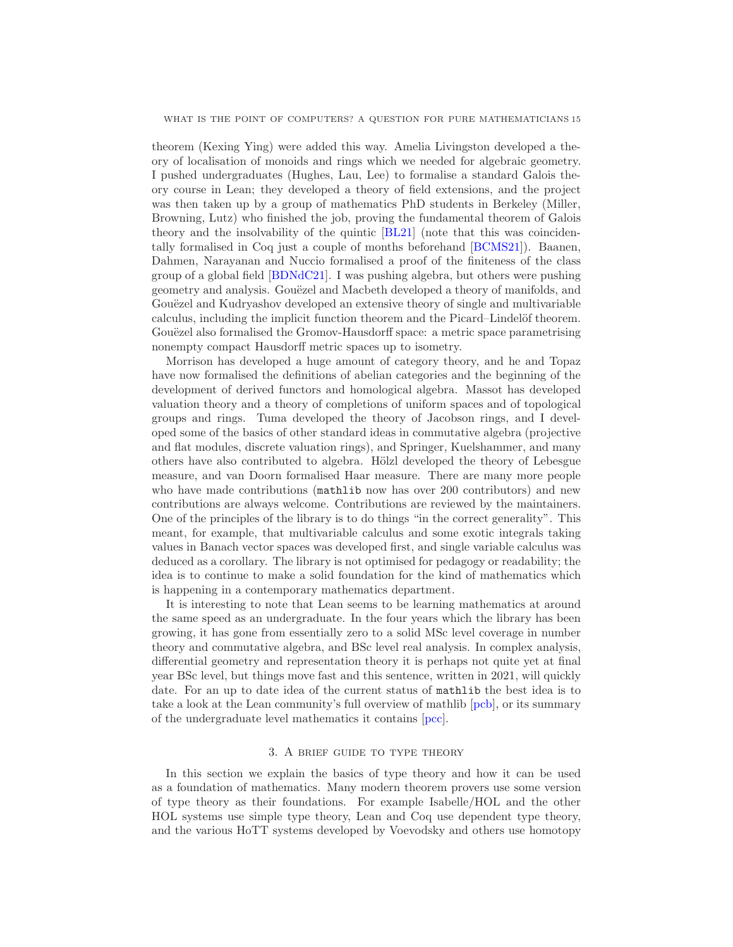theorem (Kexing Ying) were added this way. Amelia Livingston developed a theory of localisation of monoids and rings which we needed for algebraic geometry. I pushed undergraduates (Hughes, Lau, Lee) to formalise a standard Galois theory course in Lean; they developed a theory of field extensions, and the project was then taken up by a group of mathematics PhD students in Berkeley (Miller, Browning, Lutz) who finished the job, proving the fundamental theorem of Galois theory and the insolvability of the quintic [\[BL21\]](#page-24-12) (note that this was coincidentally formalised in Coq just a couple of months beforehand [\[BCMS21\]](#page-24-13)). Baanen, Dahmen, Narayanan and Nuccio formalised a proof of the finiteness of the class group of a global field [\[BDNdC21\]](#page-24-11). I was pushing algebra, but others were pushing geometry and analysis. Gouëzel and Macbeth developed a theory of manifolds, and Gouëzel and Kudryashov developed an extensive theory of single and multivariable calculus, including the implicit function theorem and the Picard–Lindelöf theorem. Gouëzel also formalised the Gromov-Hausdorff space: a metric space parametrising nonempty compact Hausdorff metric spaces up to isometry.

Morrison has developed a huge amount of category theory, and he and Topaz have now formalised the definitions of abelian categories and the beginning of the development of derived functors and homological algebra. Massot has developed valuation theory and a theory of completions of uniform spaces and of topological groups and rings. Tuma developed the theory of Jacobson rings, and I developed some of the basics of other standard ideas in commutative algebra (projective and flat modules, discrete valuation rings), and Springer, Kuelshammer, and many others have also contributed to algebra. Hölzl developed the theory of Lebesgue measure, and van Doorn formalised Haar measure. There are many more people who have made contributions (mathlib now has over 200 contributors) and new contributions are always welcome. Contributions are reviewed by the maintainers. One of the principles of the library is to do things "in the correct generality". This meant, for example, that multivariable calculus and some exotic integrals taking values in Banach vector spaces was developed first, and single variable calculus was deduced as a corollary. The library is not optimised for pedagogy or readability; the idea is to continue to make a solid foundation for the kind of mathematics which is happening in a contemporary mathematics department.

It is interesting to note that Lean seems to be learning mathematics at around the same speed as an undergraduate. In the four years which the library has been growing, it has gone from essentially zero to a solid MSc level coverage in number theory and commutative algebra, and BSc level real analysis. In complex analysis, differential geometry and representation theory it is perhaps not quite yet at final year BSc level, but things move fast and this sentence, written in 2021, will quickly date. For an up to date idea of the current status of mathlib the best idea is to take a look at the Lean community's full overview of mathlib [\[pcb\]](#page-26-9), or its summary of the undergraduate level mathematics it contains [\[pcc\]](#page-26-10).

## 3. A brief guide to type theory

<span id="page-14-0"></span>In this section we explain the basics of type theory and how it can be used as a foundation of mathematics. Many modern theorem provers use some version of type theory as their foundations. For example Isabelle/HOL and the other HOL systems use simple type theory, Lean and Coq use dependent type theory, and the various HoTT systems developed by Voevodsky and others use homotopy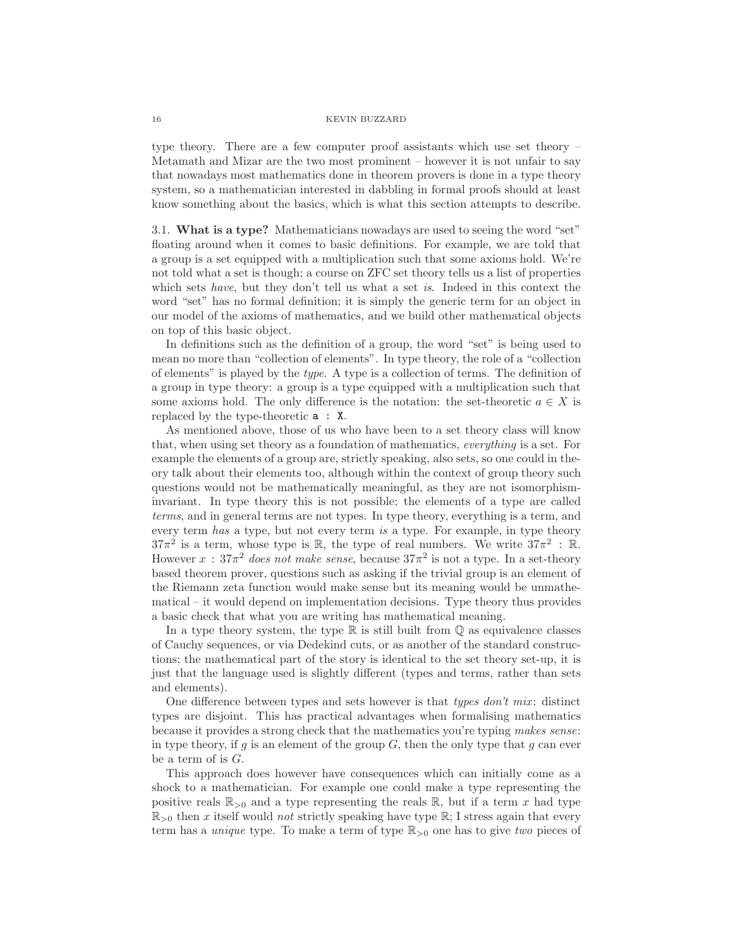type theory. There are a few computer proof assistants which use set theory – Metamath and Mizar are the two most prominent – however it is not unfair to say that nowadays most mathematics done in theorem provers is done in a type theory system, so a mathematician interested in dabbling in formal proofs should at least know something about the basics, which is what this section attempts to describe.

<span id="page-15-0"></span>3.1. What is a type? Mathematicians nowadays are used to seeing the word "set" floating around when it comes to basic definitions. For example, we are told that a group is a set equipped with a multiplication such that some axioms hold. We're not told what a set is though; a course on ZFC set theory tells us a list of properties which sets have, but they don't tell us what a set is. Indeed in this context the word "set" has no formal definition; it is simply the generic term for an object in our model of the axioms of mathematics, and we build other mathematical objects on top of this basic object.

In definitions such as the definition of a group, the word "set" is being used to mean no more than "collection of elements". In type theory, the role of a "collection of elements" is played by the type. A type is a collection of terms. The definition of a group in type theory: a group is a type equipped with a multiplication such that some axioms hold. The only difference is the notation: the set-theoretic  $a \in X$  is replaced by the type-theoretic a : X.

As mentioned above, those of us who have been to a set theory class will know that, when using set theory as a foundation of mathematics, everything is a set. For example the elements of a group are, strictly speaking, also sets, so one could in theory talk about their elements too, although within the context of group theory such questions would not be mathematically meaningful, as they are not isomorphisminvariant. In type theory this is not possible; the elements of a type are called terms, and in general terms are not types. In type theory, everything is a term, and every term has a type, but not every term is a type. For example, in type theory  $37\pi^2$  is a term, whose type is R, the type of real numbers. We write  $37\pi^2$ : R. However  $x : 37\pi^2$  does not make sense, because  $37\pi^2$  is not a type. In a set-theory based theorem prover, questions such as asking if the trivial group is an element of the Riemann zeta function would make sense but its meaning would be unmathematical – it would depend on implementation decisions. Type theory thus provides a basic check that what you are writing has mathematical meaning.

In a type theory system, the type  $\mathbb R$  is still built from  $\mathbb Q$  as equivalence classes of Cauchy sequences, or via Dedekind cuts, or as another of the standard constructions; the mathematical part of the story is identical to the set theory set-up, it is just that the language used is slightly different (types and terms, rather than sets and elements).

One difference between types and sets however is that types  $don't$  mix: distinct types are disjoint. This has practical advantages when formalising mathematics because it provides a strong check that the mathematics you're typing makes sense: in type theory, if q is an element of the group  $G$ , then the only type that q can ever be a term of is  $G$ .

This approach does however have consequences which can initially come as a shock to a mathematician. For example one could make a type representing the positive reals  $\mathbb{R}_{>0}$  and a type representing the reals  $\mathbb{R}$ , but if a term x had type  $\mathbb{R}_{>0}$  then x itself would not strictly speaking have type  $\mathbb{R}$ ; I stress again that every term has a *unique* type. To make a term of type  $\mathbb{R}_{>0}$  one has to give two pieces of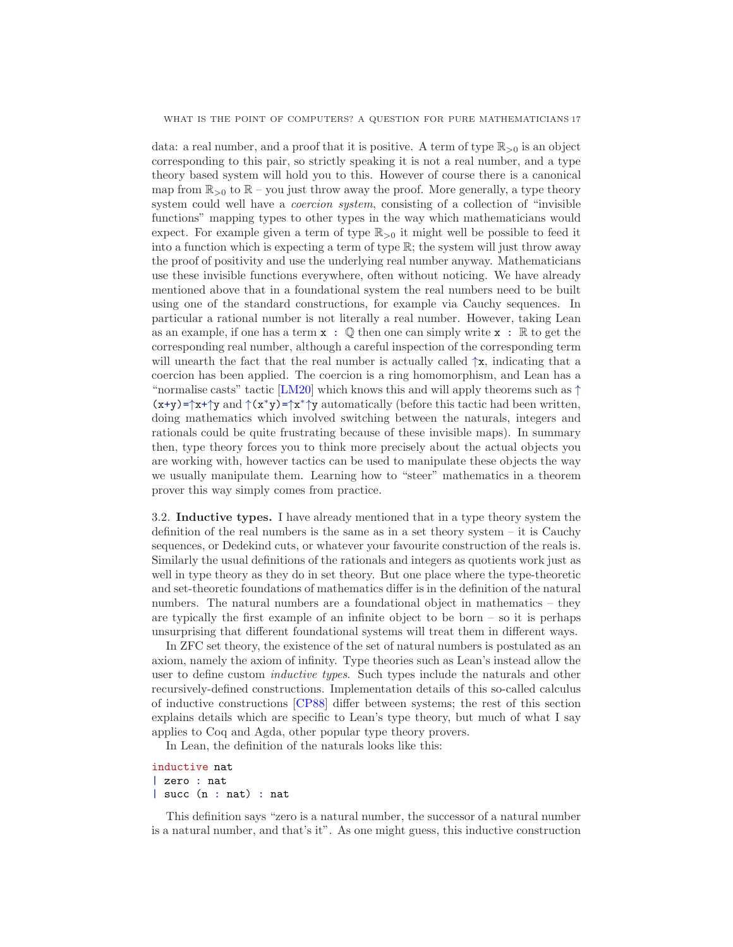data: a real number, and a proof that it is positive. A term of type  $\mathbb{R}_{>0}$  is an object corresponding to this pair, so strictly speaking it is not a real number, and a type theory based system will hold you to this. However of course there is a canonical map from  $\mathbb{R}_{>0}$  to  $\mathbb{R}$  – you just throw away the proof. More generally, a type theory system could well have a *coercion system*, consisting of a collection of "invisible" functions" mapping types to other types in the way which mathematicians would expect. For example given a term of type  $\mathbb{R}_{>0}$  it might well be possible to feed it into a function which is expecting a term of type  $\mathbb{R}$ ; the system will just throw away the proof of positivity and use the underlying real number anyway. Mathematicians use these invisible functions everywhere, often without noticing. We have already mentioned above that in a foundational system the real numbers need to be built using one of the standard constructions, for example via Cauchy sequences. In particular a rational number is not literally a real number. However, taking Lean as an example, if one has a term  $x : \mathbb{Q}$  then one can simply write  $x : \mathbb{R}$  to get the corresponding real number, although a careful inspection of the corresponding term will unearth the fact that the real number is actually called  $\uparrow x$ , indicating that a coercion has been applied. The coercion is a ring homomorphism, and Lean has a "normalise casts" tactic [\[LM20\]](#page-26-11) which knows this and will apply theorems such as  $\uparrow$  $(x+y)=\uparrow x+\uparrow y$  and  $\uparrow (x^*y)=\uparrow x^*\uparrow y$  automatically (before this tactic had been written, doing mathematics which involved switching between the naturals, integers and rationals could be quite frustrating because of these invisible maps). In summary then, type theory forces you to think more precisely about the actual objects you are working with, however tactics can be used to manipulate these objects the way we usually manipulate them. Learning how to "steer" mathematics in a theorem prover this way simply comes from practice.

<span id="page-16-0"></span>3.2. Inductive types. I have already mentioned that in a type theory system the definition of the real numbers is the same as in a set theory system – it is Cauchy sequences, or Dedekind cuts, or whatever your favourite construction of the reals is. Similarly the usual definitions of the rationals and integers as quotients work just as well in type theory as they do in set theory. But one place where the type-theoretic and set-theoretic foundations of mathematics differ is in the definition of the natural numbers. The natural numbers are a foundational object in mathematics – they are typically the first example of an infinite object to be born  $-$  so it is perhaps unsurprising that different foundational systems will treat them in different ways.

In ZFC set theory, the existence of the set of natural numbers is postulated as an axiom, namely the axiom of infinity. Type theories such as Lean's instead allow the user to define custom inductive types. Such types include the naturals and other recursively-defined constructions. Implementation details of this so-called calculus of inductive constructions [\[CP88\]](#page-24-14) differ between systems; the rest of this section explains details which are specific to Lean's type theory, but much of what I say applies to Coq and Agda, other popular type theory provers.

In Lean, the definition of the naturals looks like this:

```
inductive nat
| zero : nat
| succ (n : nat) : nat
```
This definition says "zero is a natural number, the successor of a natural number is a natural number, and that's it". As one might guess, this inductive construction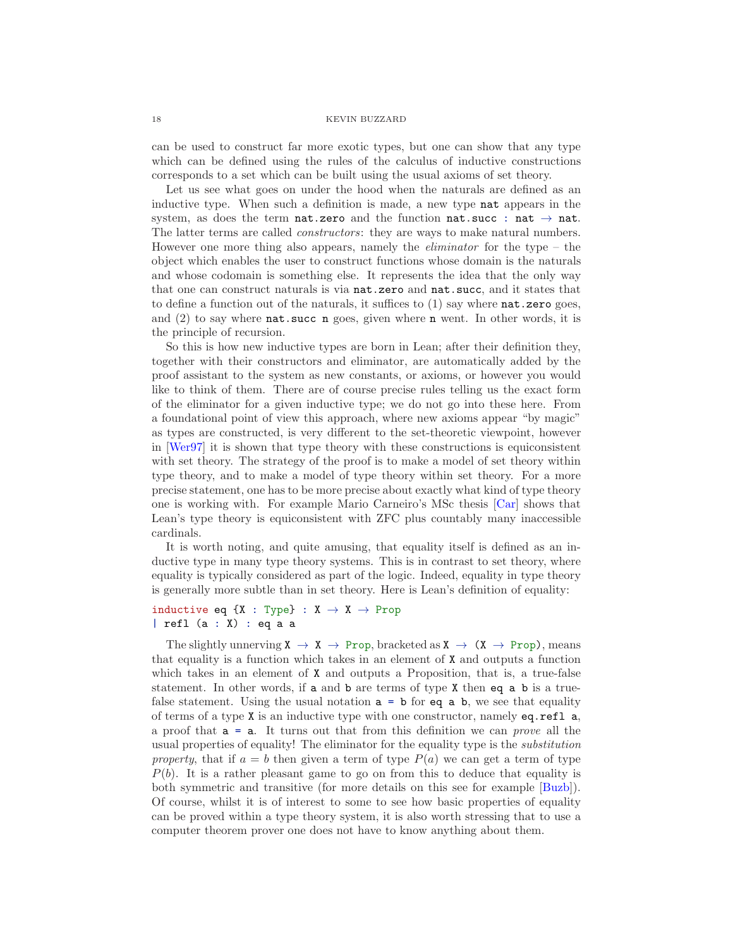can be used to construct far more exotic types, but one can show that any type which can be defined using the rules of the calculus of inductive constructions corresponds to a set which can be built using the usual axioms of set theory.

Let us see what goes on under the hood when the naturals are defined as an inductive type. When such a definition is made, a new type nat appears in the system, as does the term nat.zero and the function nat.succ : nat  $\rightarrow$  nat. The latter terms are called constructors: they are ways to make natural numbers. However one more thing also appears, namely the *eliminator* for the type  $-$  the object which enables the user to construct functions whose domain is the naturals and whose codomain is something else. It represents the idea that the only way that one can construct naturals is via nat.zero and nat.succ, and it states that to define a function out of the naturals, it suffices to  $(1)$  say where  $nat-zero$  goes, and (2) to say where nat.succ n goes, given where n went. In other words, it is the principle of recursion.

So this is how new inductive types are born in Lean; after their definition they, together with their constructors and eliminator, are automatically added by the proof assistant to the system as new constants, or axioms, or however you would like to think of them. There are of course precise rules telling us the exact form of the eliminator for a given inductive type; we do not go into these here. From a foundational point of view this approach, where new axioms appear "by magic" as types are constructed, is very different to the set-theoretic viewpoint, however in [\[Wer97\]](#page-27-8) it is shown that type theory with these constructions is equiconsistent with set theory. The strategy of the proof is to make a model of set theory within type theory, and to make a model of type theory within set theory. For a more precise statement, one has to be more precise about exactly what kind of type theory one is working with. For example Mario Carneiro's MSc thesis [\[Car\]](#page-24-15) shows that Lean's type theory is equiconsistent with ZFC plus countably many inaccessible cardinals.

It is worth noting, and quite amusing, that equality itself is defined as an inductive type in many type theory systems. This is in contrast to set theory, where equality is typically considered as part of the logic. Indeed, equality in type theory is generally more subtle than in set theory. Here is Lean's definition of equality:

# inductive eq {X : Type} :  $X \rightarrow X \rightarrow$  Prop | refl (a : X) : eq a a

The slightly unnerving  $X \to X \to Prop$ , bracketed as  $X \to (X \to Prop)$ , means that equality is a function which takes in an element of  $X$  and outputs a function which takes in an element of **X** and outputs a Proposition, that is, a true-false statement. In other words, if a and b are terms of type X then eq a b is a truefalse statement. Using the usual notation  $a = b$  for eq a b, we see that equality of terms of a type X is an inductive type with one constructor, namely eq.refl a, a proof that  $a = a$ . It turns out that from this definition we can *prove* all the usual properties of equality! The eliminator for the equality type is the substitution property, that if  $a = b$  then given a term of type  $P(a)$  we can get a term of type  $P(b)$ . It is a rather pleasant game to go on from this to deduce that equality is both symmetric and transitive (for more details on this see for example [\[Buzb\]](#page-24-16)). Of course, whilst it is of interest to some to see how basic properties of equality can be proved within a type theory system, it is also worth stressing that to use a computer theorem prover one does not have to know anything about them.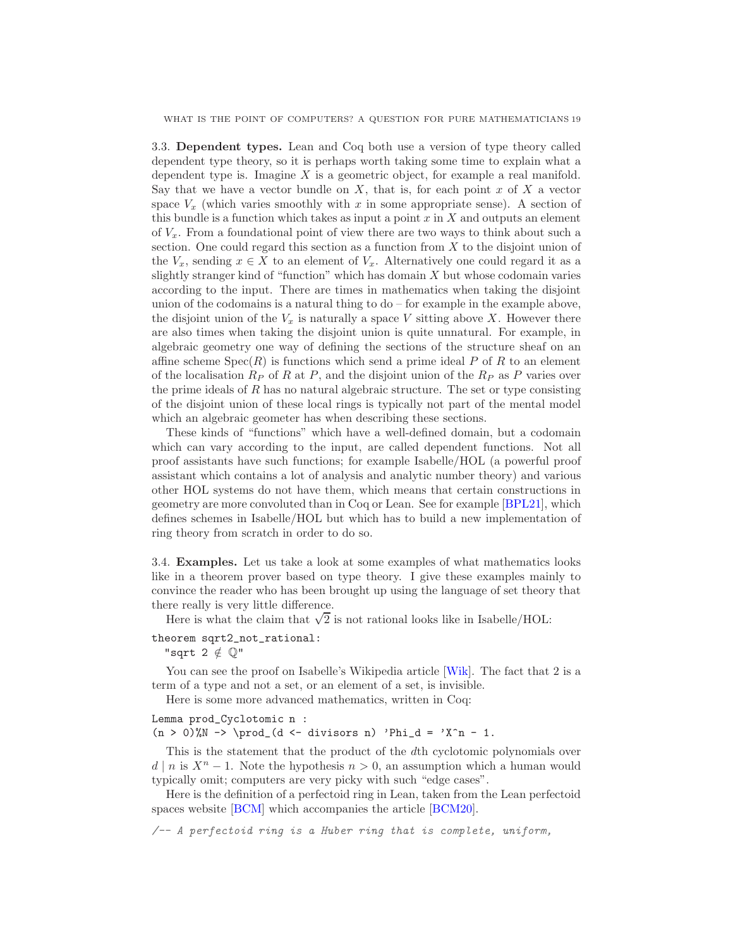WHAT IS THE POINT OF COMPUTERS? A QUESTION FOR PURE MATHEMATICIANS 19

<span id="page-18-0"></span>3.3. Dependent types. Lean and Coq both use a version of type theory called dependent type theory, so it is perhaps worth taking some time to explain what a dependent type is. Imagine  $X$  is a geometric object, for example a real manifold. Say that we have a vector bundle on  $X$ , that is, for each point  $x$  of  $X$  a vector space  $V_x$  (which varies smoothly with x in some appropriate sense). A section of this bundle is a function which takes as input a point  $x$  in  $X$  and outputs an element of  $V_x$ . From a foundational point of view there are two ways to think about such a section. One could regard this section as a function from  $X$  to the disjoint union of the  $V_x$ , sending  $x \in X$  to an element of  $V_x$ . Alternatively one could regard it as a slightly stranger kind of "function" which has domain  $X$  but whose codomain varies according to the input. There are times in mathematics when taking the disjoint union of the codomains is a natural thing to  $d\sigma$  – for example in the example above, the disjoint union of the  $V_x$  is naturally a space V sitting above X. However there are also times when taking the disjoint union is quite unnatural. For example, in algebraic geometry one way of defining the sections of the structure sheaf on an affine scheme  $Spec(R)$  is functions which send a prime ideal P of R to an element of the localisation  $R_P$  of R at P, and the disjoint union of the  $R_P$  as P varies over the prime ideals of  $R$  has no natural algebraic structure. The set or type consisting of the disjoint union of these local rings is typically not part of the mental model which an algebraic geometer has when describing these sections.

These kinds of "functions" which have a well-defined domain, but a codomain which can vary according to the input, are called dependent functions. Not all proof assistants have such functions; for example Isabelle/HOL (a powerful proof assistant which contains a lot of analysis and analytic number theory) and various other HOL systems do not have them, which means that certain constructions in geometry are more convoluted than in Coq or Lean. See for example [\[BPL21\]](#page-24-17), which defines schemes in Isabelle/HOL but which has to build a new implementation of ring theory from scratch in order to do so.

<span id="page-18-1"></span>3.4. Examples. Let us take a look at some examples of what mathematics looks like in a theorem prover based on type theory. I give these examples mainly to convince the reader who has been brought up using the language of set theory that there really is very little difference.

Here is what the claim that  $\sqrt{2}$  is not rational looks like in Isabelle/HOL:

theorem sqrt2\_not\_rational:

"sqrt 2  $\notin$   $\mathbb{Q}$ "

You can see the proof on Isabelle's Wikipedia article [\[Wik\]](#page-27-9). The fact that 2 is a term of a type and not a set, or an element of a set, is invisible.

Here is some more advanced mathematics, written in Coq:

## Lemma prod\_Cyclotomic n :

 $(n > 0)$ %N -> \prod\_(d <- divisors n) 'Phi\_d = 'X^n - 1.

This is the statement that the product of the dth cyclotomic polynomials over  $d \mid n$  is  $X^n - 1$ . Note the hypothesis  $n > 0$ , an assumption which a human would typically omit; computers are very picky with such "edge cases".

Here is the definition of a perfectoid ring in Lean, taken from the Lean perfectoid spaces website [\[BCM\]](#page-23-4) which accompanies the article [\[BCM20\]](#page-23-3).

/-- A perfectoid ring is a Huber ring that is complete, uniform,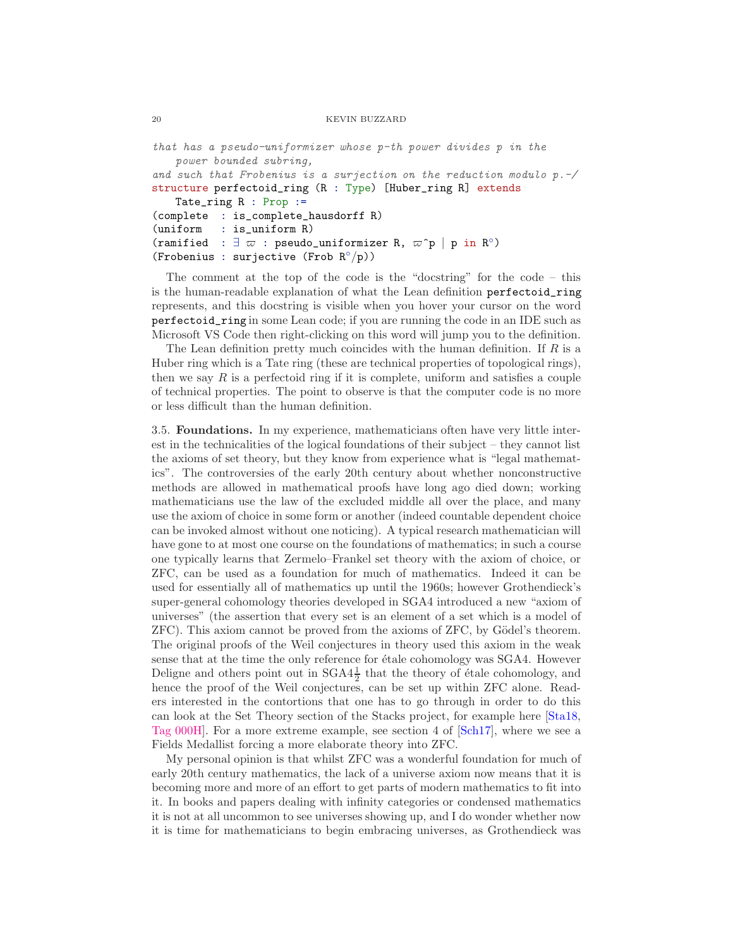```
that has a pseudo-uniformizer whose p-th power divides p in the
    power bounded subring,
and such that Frobenius is a surjection on the reduction modulo p.-/
structure perfectoid_ring (R : Type) [Huber_ring R] extends
    Tate_ring R : Prop :=
(complete : is_complete_hausdorff R)
(uniform : is_uniform R)
(ramified : \exists \varpi : pseudo_uniformizer R, \varpi<sup>^</sup>p | p in R<sup>°</sup>)
(Frobenius : surjective (Frob R^{\circ}/p))
```
The comment at the top of the code is the "docstring" for the code – this is the human-readable explanation of what the Lean definition perfectoid\_ring represents, and this docstring is visible when you hover your cursor on the word perfectoid\_ring in some Lean code; if you are running the code in an IDE such as Microsoft VS Code then right-clicking on this word will jump you to the definition.

The Lean definition pretty much coincides with the human definition. If  $R$  is a Huber ring which is a Tate ring (these are technical properties of topological rings), then we say  $R$  is a perfectoid ring if it is complete, uniform and satisfies a couple of technical properties. The point to observe is that the computer code is no more or less difficult than the human definition.

<span id="page-19-0"></span>3.5. Foundations. In my experience, mathematicians often have very little interest in the technicalities of the logical foundations of their subject – they cannot list the axioms of set theory, but they know from experience what is "legal mathematics". The controversies of the early 20th century about whether nonconstructive methods are allowed in mathematical proofs have long ago died down; working mathematicians use the law of the excluded middle all over the place, and many use the axiom of choice in some form or another (indeed countable dependent choice can be invoked almost without one noticing). A typical research mathematician will have gone to at most one course on the foundations of mathematics; in such a course one typically learns that Zermelo–Frankel set theory with the axiom of choice, or ZFC, can be used as a foundation for much of mathematics. Indeed it can be used for essentially all of mathematics up until the 1960s; however Grothendieck's super-general cohomology theories developed in SGA4 introduced a new "axiom of universes" (the assertion that every set is an element of a set which is a model of  $ZFC$ ). This axiom cannot be proved from the axioms of  $ZFC$ , by Gödel's theorem. The original proofs of the Weil conjectures in theory used this axiom in the weak sense that at the time the only reference for  $\acute{e}t$  and cohomology was SGA4. However Deligne and others point out in  $SGA4\frac{1}{2}$  that the theory of étale cohomology, and hence the proof of the Weil conjectures, can be set up within ZFC alone. Readers interested in the contortions that one has to go through in order to do this can look at the Set Theory section of the Stacks project, for example here [\[Sta18,](#page-27-10) [Tag 000H\]](https://stacks.math.columbia.edu/tag/000H). For a more extreme example, see section 4 of [\[Sch17\]](#page-27-11), where we see a Fields Medallist forcing a more elaborate theory into ZFC.

My personal opinion is that whilst ZFC was a wonderful foundation for much of early 20th century mathematics, the lack of a universe axiom now means that it is becoming more and more of an effort to get parts of modern mathematics to fit into it. In books and papers dealing with infinity categories or condensed mathematics it is not at all uncommon to see universes showing up, and I do wonder whether now it is time for mathematicians to begin embracing universes, as Grothendieck was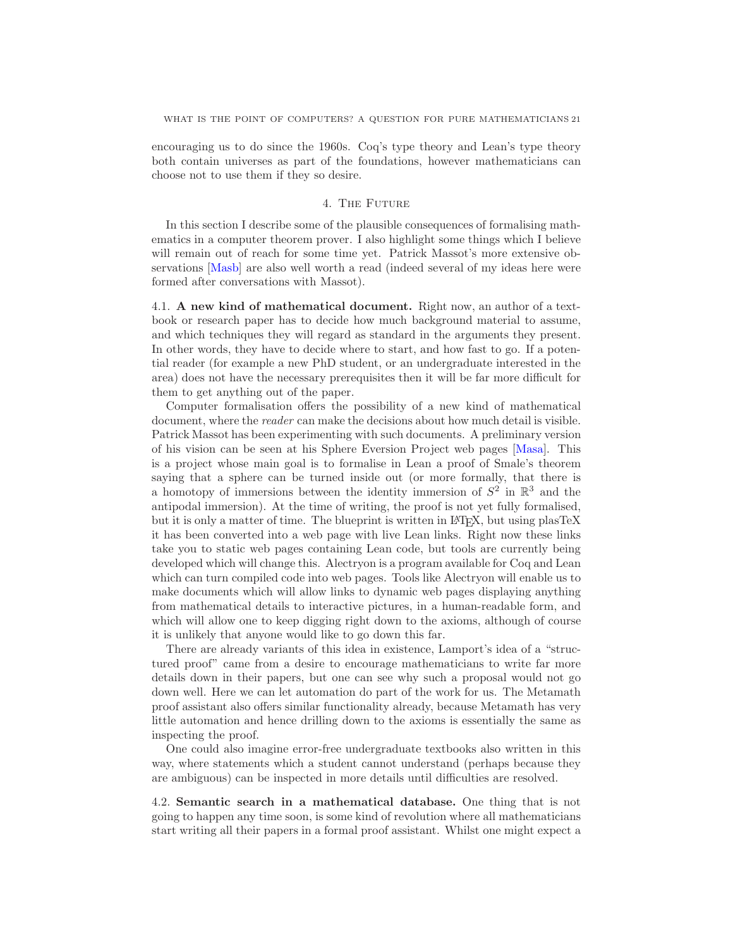encouraging us to do since the 1960s. Coq's type theory and Lean's type theory both contain universes as part of the foundations, however mathematicians can choose not to use them if they so desire.

# 4. The Future

<span id="page-20-0"></span>In this section I describe some of the plausible consequences of formalising mathematics in a computer theorem prover. I also highlight some things which I believe will remain out of reach for some time yet. Patrick Massot's more extensive observations [\[Masb\]](#page-26-0) are also well worth a read (indeed several of my ideas here were formed after conversations with Massot).

<span id="page-20-1"></span>4.1. A new kind of mathematical document. Right now, an author of a textbook or research paper has to decide how much background material to assume, and which techniques they will regard as standard in the arguments they present. In other words, they have to decide where to start, and how fast to go. If a potential reader (for example a new PhD student, or an undergraduate interested in the area) does not have the necessary prerequisites then it will be far more difficult for them to get anything out of the paper.

Computer formalisation offers the possibility of a new kind of mathematical document, where the *reader* can make the decisions about how much detail is visible. Patrick Massot has been experimenting with such documents. A preliminary version of his vision can be seen at his Sphere Eversion Project web pages [\[Masa\]](#page-26-12). This is a project whose main goal is to formalise in Lean a proof of Smale's theorem saying that a sphere can be turned inside out (or more formally, that there is a homotopy of immersions between the identity immersion of  $S^2$  in  $\mathbb{R}^3$  and the antipodal immersion). At the time of writing, the proof is not yet fully formalised, but it is only a matter of time. The blueprint is written in L<sup>AT</sup>EX, but using plasTeX it has been converted into a web page with live Lean links. Right now these links take you to static web pages containing Lean code, but tools are currently being developed which will change this. Alectryon is a program available for Coq and Lean which can turn compiled code into web pages. Tools like Alectryon will enable us to make documents which will allow links to dynamic web pages displaying anything from mathematical details to interactive pictures, in a human-readable form, and which will allow one to keep digging right down to the axioms, although of course it is unlikely that anyone would like to go down this far.

There are already variants of this idea in existence, Lamport's idea of a "structured proof" came from a desire to encourage mathematicians to write far more details down in their papers, but one can see why such a proposal would not go down well. Here we can let automation do part of the work for us. The Metamath proof assistant also offers similar functionality already, because Metamath has very little automation and hence drilling down to the axioms is essentially the same as inspecting the proof.

One could also imagine error-free undergraduate textbooks also written in this way, where statements which a student cannot understand (perhaps because they are ambiguous) can be inspected in more details until difficulties are resolved.

<span id="page-20-2"></span>4.2. Semantic search in a mathematical database. One thing that is not going to happen any time soon, is some kind of revolution where all mathematicians start writing all their papers in a formal proof assistant. Whilst one might expect a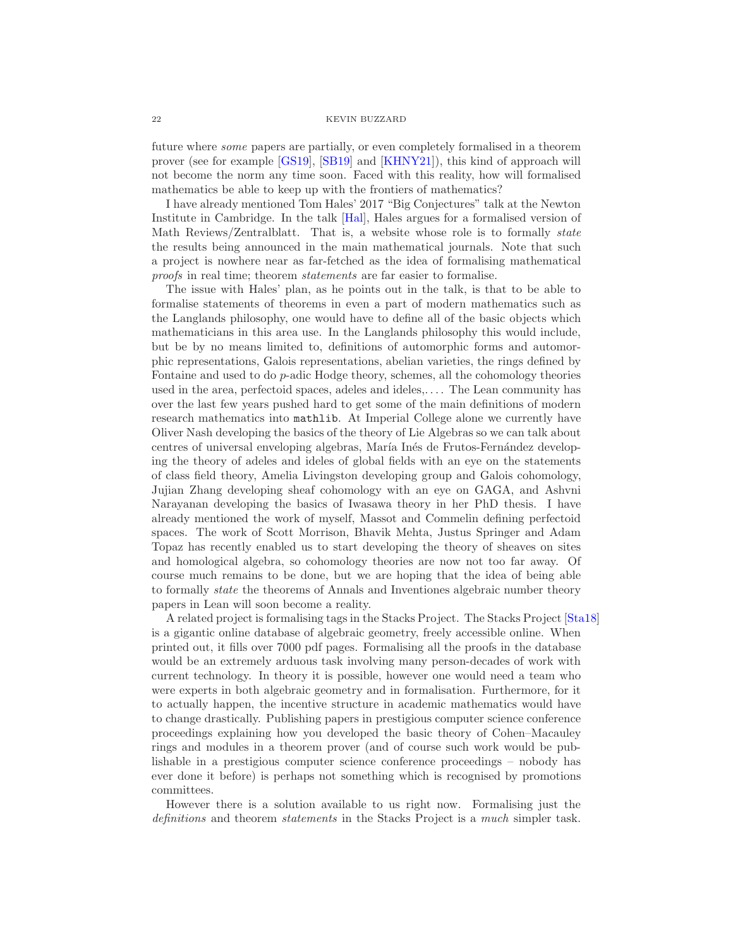future where some papers are partially, or even completely formalised in a theorem prover (see for example [\[GS19\]](#page-25-15), [\[SB19\]](#page-27-12) and [\[KHNY21\]](#page-26-13)), this kind of approach will not become the norm any time soon. Faced with this reality, how will formalised mathematics be able to keep up with the frontiers of mathematics?

I have already mentioned Tom Hales' 2017 "Big Conjectures" talk at the Newton Institute in Cambridge. In the talk [\[Hal\]](#page-25-10), Hales argues for a formalised version of Math Reviews/Zentralblatt. That is, a website whose role is to formally state the results being announced in the main mathematical journals. Note that such a project is nowhere near as far-fetched as the idea of formalising mathematical proofs in real time; theorem statements are far easier to formalise.

The issue with Hales' plan, as he points out in the talk, is that to be able to formalise statements of theorems in even a part of modern mathematics such as the Langlands philosophy, one would have to define all of the basic objects which mathematicians in this area use. In the Langlands philosophy this would include, but be by no means limited to, definitions of automorphic forms and automorphic representations, Galois representations, abelian varieties, the rings defined by Fontaine and used to do p-adic Hodge theory, schemes, all the cohomology theories used in the area, perfectoid spaces, adeles and ideles,. . . . The Lean community has over the last few years pushed hard to get some of the main definitions of modern research mathematics into mathlib. At Imperial College alone we currently have Oliver Nash developing the basics of the theory of Lie Algebras so we can talk about centres of universal enveloping algebras, María Inés de Frutos-Fernández developing the theory of adeles and ideles of global fields with an eye on the statements of class field theory, Amelia Livingston developing group and Galois cohomology, Jujian Zhang developing sheaf cohomology with an eye on GAGA, and Ashvni Narayanan developing the basics of Iwasawa theory in her PhD thesis. I have already mentioned the work of myself, Massot and Commelin defining perfectoid spaces. The work of Scott Morrison, Bhavik Mehta, Justus Springer and Adam Topaz has recently enabled us to start developing the theory of sheaves on sites and homological algebra, so cohomology theories are now not too far away. Of course much remains to be done, but we are hoping that the idea of being able to formally state the theorems of Annals and Inventiones algebraic number theory papers in Lean will soon become a reality.

A related project is formalising tags in the Stacks Project. The Stacks Project [\[Sta18\]](#page-27-10) is a gigantic online database of algebraic geometry, freely accessible online. When printed out, it fills over 7000 pdf pages. Formalising all the proofs in the database would be an extremely arduous task involving many person-decades of work with current technology. In theory it is possible, however one would need a team who were experts in both algebraic geometry and in formalisation. Furthermore, for it to actually happen, the incentive structure in academic mathematics would have to change drastically. Publishing papers in prestigious computer science conference proceedings explaining how you developed the basic theory of Cohen–Macauley rings and modules in a theorem prover (and of course such work would be publishable in a prestigious computer science conference proceedings – nobody has ever done it before) is perhaps not something which is recognised by promotions committees.

However there is a solution available to us right now. Formalising just the definitions and theorem *statements* in the Stacks Project is a much simpler task.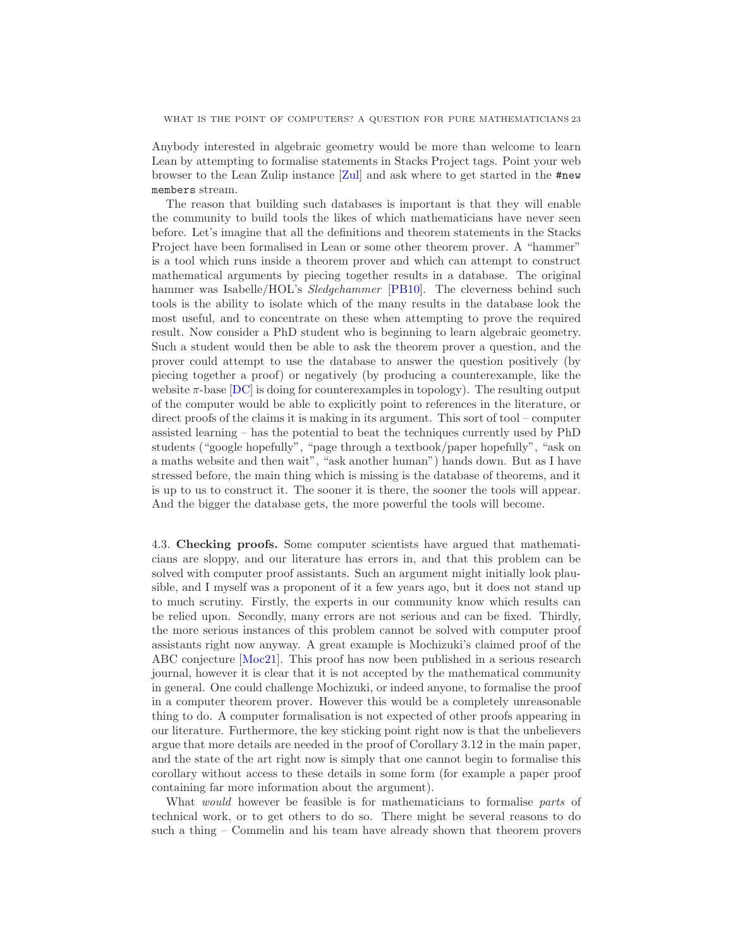Anybody interested in algebraic geometry would be more than welcome to learn Lean by attempting to formalise statements in Stacks Project tags. Point your web browser to the Lean Zulip instance [\[Zul\]](#page-27-7) and ask where to get started in the #new members stream.

The reason that building such databases is important is that they will enable the community to build tools the likes of which mathematicians have never seen before. Let's imagine that all the definitions and theorem statements in the Stacks Project have been formalised in Lean or some other theorem prover. A "hammer" is a tool which runs inside a theorem prover and which can attempt to construct mathematical arguments by piecing together results in a database. The original hammer was Isabelle/HOL's *Sledgehammer* [\[PB10\]](#page-26-14). The cleverness behind such tools is the ability to isolate which of the many results in the database look the most useful, and to concentrate on these when attempting to prove the required result. Now consider a PhD student who is beginning to learn algebraic geometry. Such a student would then be able to ask the theorem prover a question, and the prover could attempt to use the database to answer the question positively (by piecing together a proof) or negatively (by producing a counterexample, like the website  $\pi$ -base  $[DC]$  is doing for counterexamples in topology). The resulting output of the computer would be able to explicitly point to references in the literature, or direct proofs of the claims it is making in its argument. This sort of tool – computer assisted learning – has the potential to beat the techniques currently used by PhD students ("google hopefully", "page through a textbook/paper hopefully", "ask on a maths website and then wait", "ask another human") hands down. But as I have stressed before, the main thing which is missing is the database of theorems, and it is up to us to construct it. The sooner it is there, the sooner the tools will appear. And the bigger the database gets, the more powerful the tools will become.

<span id="page-22-0"></span>4.3. Checking proofs. Some computer scientists have argued that mathematicians are sloppy, and our literature has errors in, and that this problem can be solved with computer proof assistants. Such an argument might initially look plausible, and I myself was a proponent of it a few years ago, but it does not stand up to much scrutiny. Firstly, the experts in our community know which results can be relied upon. Secondly, many errors are not serious and can be fixed. Thirdly, the more serious instances of this problem cannot be solved with computer proof assistants right now anyway. A great example is Mochizuki's claimed proof of the ABC conjecture [\[Moc21\]](#page-26-15). This proof has now been published in a serious research journal, however it is clear that it is not accepted by the mathematical community in general. One could challenge Mochizuki, or indeed anyone, to formalise the proof in a computer theorem prover. However this would be a completely unreasonable thing to do. A computer formalisation is not expected of other proofs appearing in our literature. Furthermore, the key sticking point right now is that the unbelievers argue that more details are needed in the proof of Corollary 3.12 in the main paper, and the state of the art right now is simply that one cannot begin to formalise this corollary without access to these details in some form (for example a paper proof containing far more information about the argument).

What *would* however be feasible is for mathematicians to formalise *parts* of technical work, or to get others to do so. There might be several reasons to do such a thing – Commelin and his team have already shown that theorem provers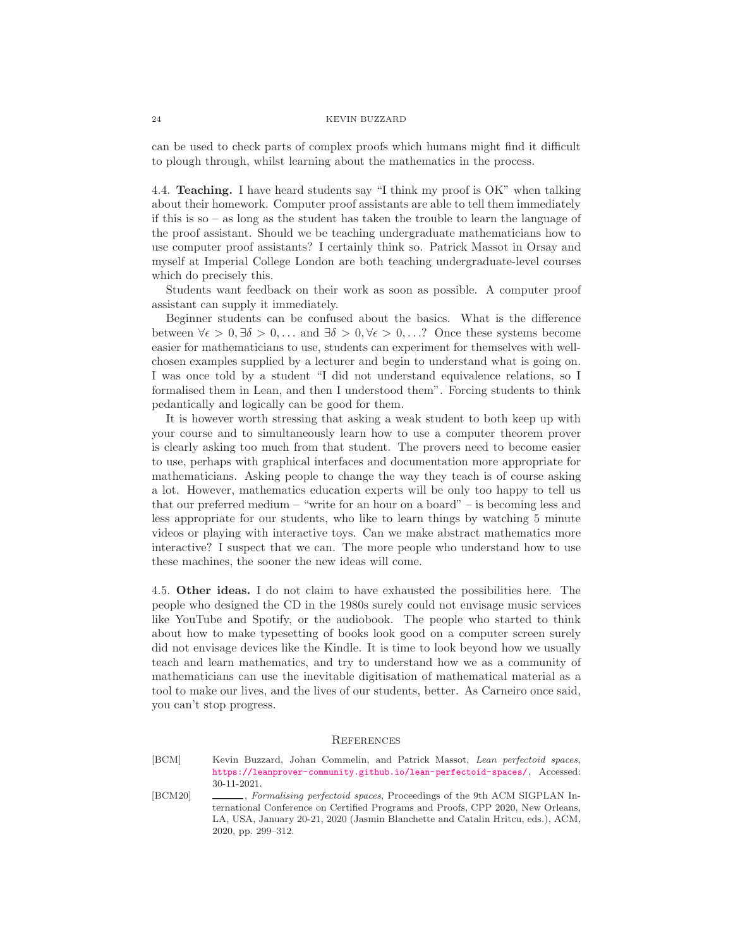can be used to check parts of complex proofs which humans might find it difficult to plough through, whilst learning about the mathematics in the process.

<span id="page-23-0"></span>4.4. Teaching. I have heard students say "I think my proof is OK" when talking about their homework. Computer proof assistants are able to tell them immediately if this is so – as long as the student has taken the trouble to learn the language of the proof assistant. Should we be teaching undergraduate mathematicians how to use computer proof assistants? I certainly think so. Patrick Massot in Orsay and myself at Imperial College London are both teaching undergraduate-level courses which do precisely this.

Students want feedback on their work as soon as possible. A computer proof assistant can supply it immediately.

Beginner students can be confused about the basics. What is the difference between  $\forall \epsilon > 0, \exists \delta > 0, \ldots$  and  $\exists \delta > 0, \forall \epsilon > 0, \ldots$ ? Once these systems become easier for mathematicians to use, students can experiment for themselves with wellchosen examples supplied by a lecturer and begin to understand what is going on. I was once told by a student "I did not understand equivalence relations, so I formalised them in Lean, and then I understood them". Forcing students to think pedantically and logically can be good for them.

It is however worth stressing that asking a weak student to both keep up with your course and to simultaneously learn how to use a computer theorem prover is clearly asking too much from that student. The provers need to become easier to use, perhaps with graphical interfaces and documentation more appropriate for mathematicians. Asking people to change the way they teach is of course asking a lot. However, mathematics education experts will be only too happy to tell us that our preferred medium – "write for an hour on a board" – is becoming less and less appropriate for our students, who like to learn things by watching 5 minute videos or playing with interactive toys. Can we make abstract mathematics more interactive? I suspect that we can. The more people who understand how to use these machines, the sooner the new ideas will come.

<span id="page-23-1"></span>4.5. Other ideas. I do not claim to have exhausted the possibilities here. The people who designed the CD in the 1980s surely could not envisage music services like YouTube and Spotify, or the audiobook. The people who started to think about how to make typesetting of books look good on a computer screen surely did not envisage devices like the Kindle. It is time to look beyond how we usually teach and learn mathematics, and try to understand how we as a community of mathematicians can use the inevitable digitisation of mathematical material as a tool to make our lives, and the lives of our students, better. As Carneiro once said, you can't stop progress.

## <span id="page-23-2"></span>**REFERENCES**

<span id="page-23-4"></span>[BCM] Kevin Buzzard, Johan Commelin, and Patrick Massot, *Lean perfectoid spaces*, <https://leanprover-community.github.io/lean-perfectoid-spaces/>, Accessed: 30-11-2021.

<span id="page-23-3"></span>[BCM20] , *Formalising perfectoid spaces*, Proceedings of the 9th ACM SIGPLAN International Conference on Certified Programs and Proofs, CPP 2020, New Orleans, LA, USA, January 20-21, 2020 (Jasmin Blanchette and Catalin Hritcu, eds.), ACM, 2020, pp. 299–312.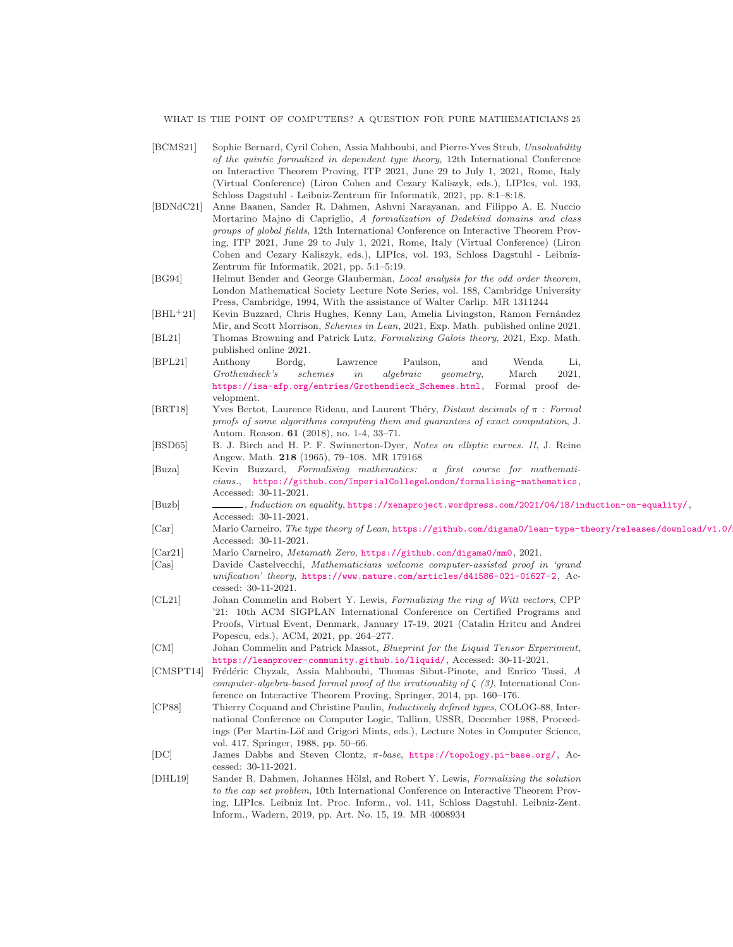WHAT IS THE POINT OF COMPUTERS? A QUESTION FOR PURE MATHEMATICIANS 25

- <span id="page-24-13"></span>[BCMS21] Sophie Bernard, Cyril Cohen, Assia Mahboubi, and Pierre-Yves Strub, *Unsolvability of the quintic formalized in dependent type theory*, 12th International Conference on Interactive Theorem Proving, ITP 2021, June 29 to July 1, 2021, Rome, Italy (Virtual Conference) (Liron Cohen and Cezary Kaliszyk, eds.), LIPIcs, vol. 193, Schloss Dagstuhl - Leibniz-Zentrum für Informatik, 2021, pp. 8:1-8:18.
- <span id="page-24-11"></span>[BDNdC21] Anne Baanen, Sander R. Dahmen, Ashvni Narayanan, and Filippo A. E. Nuccio Mortarino Majno di Capriglio, *A formalization of Dedekind domains and class groups of global fields*, 12th International Conference on Interactive Theorem Proving, ITP 2021, June 29 to July 1, 2021, Rome, Italy (Virtual Conference) (Liron Cohen and Cezary Kaliszyk, eds.), LIPIcs, vol. 193, Schloss Dagstuhl - Leibniz-Zentrum für Informatik, 2021, pp. 5:1-5:19.
- <span id="page-24-4"></span>[BG94] Helmut Bender and George Glauberman, *Local analysis for the odd order theorem*, London Mathematical Society Lecture Note Series, vol. 188, Cambridge University Press, Cambridge, 1994, With the assistance of Walter Carlip. MR 1311244
- <span id="page-24-5"></span>[BHL<sup>+</sup>21] Kevin Buzzard, Chris Hughes, Kenny Lau, Amelia Livingston, Ramon Fernández Mir, and Scott Morrison, *Schemes in Lean*, 2021, Exp. Math. published online 2021.
- <span id="page-24-12"></span>[BL21] Thomas Browning and Patrick Lutz, *Formalizing Galois theory*, 2021, Exp. Math. published online 2021.
- <span id="page-24-17"></span>[BPL21] Anthony Bordg, Lawrence Paulson, and Wenda Li, *Grothendieck's schemes in algebraic geometry*, March 2021, [https://isa-afp.org/entries/Grothendieck\\_Schemes.html](https://isa-afp.org/entries/Grothendieck_Schemes.html), Formal proof development.
- <span id="page-24-9"></span>[BRT18] Yves Bertot, Laurence Rideau, and Laurent Th´ery, *Distant decimals of* π *: Formal proofs of some algorithms computing them and guarantees of exact computation*, J. Autom. Reason. 61 (2018), no. 1-4, 33–71.
- <span id="page-24-0"></span>[BSD65] B. J. Birch and H. P. F. Swinnerton-Dyer, *Notes on elliptic curves. II*, J. Reine Angew. Math. 218 (1965), 79–108. MR 179168
- <span id="page-24-1"></span>[Buza] Kevin Buzzard, *Formalising mathematics: a first course for mathematicians.*, <https://github.com/ImperialCollegeLondon/formalising-mathematics>, Accessed: 30-11-2021.
- <span id="page-24-16"></span>[Buzb] , *Induction on equality*, <https://xenaproject.wordpress.com/2021/04/18/induction-on-equality/>, Accessed: 30-11-2021.
- <span id="page-24-15"></span>[Car] Mario Carneiro, *The type theory of Lean*, https://github.com/digama0/lean-type-theory/releases/download/v1.0/ Accessed: 30-11-2021.
- <span id="page-24-3"></span>[Car21] Mario Carneiro, *Metamath Zero*, <https://github.com/digama0/mm0>, 2021.
- <span id="page-24-7"></span>[Cas] Davide Castelvecchi, *Mathematicians welcome computer-assisted proof in 'grand unification' theory*, <https://www.nature.com/articles/d41586-021-01627-2>, Accessed: 30-11-2021.
- <span id="page-24-10"></span>[CL21] Johan Commelin and Robert Y. Lewis, *Formalizing the ring of Witt vectors*, CPP '21: 10th ACM SIGPLAN International Conference on Certified Programs and Proofs, Virtual Event, Denmark, January 17-19, 2021 (Catalin Hritcu and Andrei Popescu, eds.), ACM, 2021, pp. 264–277.
- <span id="page-24-6"></span>[CM] Johan Commelin and Patrick Massot, *Blueprint for the Liquid Tensor Experiment*, <https://leanprover-community.github.io/liquid/>, Accessed: 30-11-2021.
- <span id="page-24-8"></span>[CMSPT14] Fr´ed´eric Chyzak, Assia Mahboubi, Thomas Sibut-Pinote, and Enrico Tassi, *A computer-algebra-based formal proof of the irrationality of*  $\zeta$  (3), International Conference on Interactive Theorem Proving, Springer, 2014, pp. 160–176.
- <span id="page-24-14"></span>[CP88] Thierry Coquand and Christine Paulin, *Inductively defined types*, COLOG-88, International Conference on Computer Logic, Tallinn, USSR, December 1988, Proceedings (Per Martin-Löf and Grigori Mints, eds.), Lecture Notes in Computer Science, vol. 417, Springer, 1988, pp. 50–66.
- <span id="page-24-18"></span>[DC] James Dabbs and Steven Clontz, π*-base*, <https://topology.pi-base.org/>, Accessed: 30-11-2021.
- <span id="page-24-2"></span>[DHL19] Sander R. Dahmen, Johannes Hölzl, and Robert Y. Lewis, *Formalizing the solution to the cap set problem*, 10th International Conference on Interactive Theorem Proving, LIPIcs. Leibniz Int. Proc. Inform., vol. 141, Schloss Dagstuhl. Leibniz-Zent. Inform., Wadern, 2019, pp. Art. No. 15, 19. MR 4008934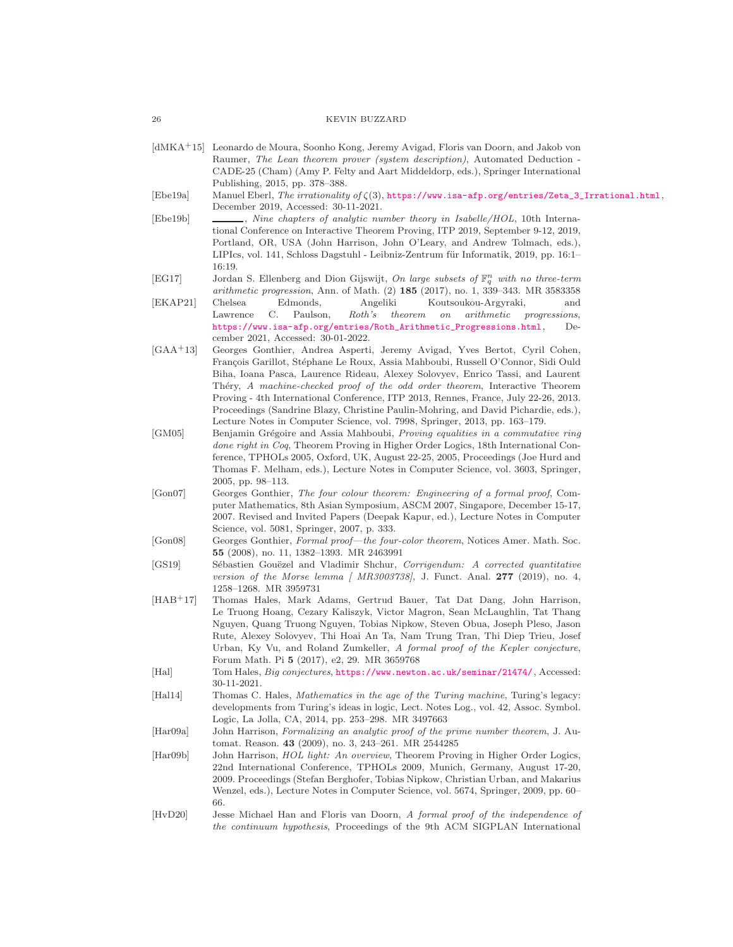- <span id="page-25-1"></span>[dMKA+15] Leonardo de Moura, Soonho Kong, Jeremy Avigad, Floris van Doorn, and Jakob von Raumer, *The Lean theorem prover (system description)*, Automated Deduction - CADE-25 (Cham) (Amy P. Felty and Aart Middeldorp, eds.), Springer International Publishing, 2015, pp. 378–388.
- <span id="page-25-11"></span>[Ebe19a] Manuel Eberl, *The irrationality of* ζ(3), [https://www.isa-afp.org/entries/Zeta\\_3\\_Irrational.html](https://www.isa-afp.org/entries/Zeta_3_Irrational.html), December 2019, Accessed: 30-11-2021.
- <span id="page-25-12"></span>[Ebe19b] , *Nine chapters of analytic number theory in Isabelle/HOL*, 10th International Conference on Interactive Theorem Proving, ITP 2019, September 9-12, 2019, Portland, OR, USA (John Harrison, John O'Leary, and Andrew Tolmach, eds.), LIPIcs, vol. 141, Schloss Dagstuhl - Leibniz-Zentrum für Informatik, 2019, pp. 16:1– 16:19.
- <span id="page-25-14"></span><span id="page-25-0"></span>[EG17] Jordan S. Ellenberg and Dion Gijswijt, *On large subsets of* F n <sup>q</sup> *with no three-term arithmetic progression*, Ann. of Math. (2) 185 (2017), no. 1, 339–343. MR 3583358 [EKAP21] Chelsea Edmonds, Angeliki Koutsoukou-Argyraki, and Lawrence C. Paulson, *Roth's theorem on arithmetic progressions*,
	- [https://www.isa-afp.org/entries/Roth\\_Arithmetic\\_Progressions.html](https://www.isa-afp.org/entries/Roth_Arithmetic_Progressions.html), December 2021, Accessed: 30-01-2022.
- <span id="page-25-8"></span>[GAA+13] Georges Gonthier, Andrea Asperti, Jeremy Avigad, Yves Bertot, Cyril Cohen, François Garillot, Stéphane Le Roux, Assia Mahboubi, Russell O'Connor, Sidi Ould Biha, Ioana Pasca, Laurence Rideau, Alexey Solovyev, Enrico Tassi, and Laurent Th´ery, *A machine-checked proof of the odd order theorem*, Interactive Theorem Proving - 4th International Conference, ITP 2013, Rennes, France, July 22-26, 2013. Proceedings (Sandrine Blazy, Christine Paulin-Mohring, and David Pichardie, eds.), Lecture Notes in Computer Science, vol. 7998, Springer, 2013, pp. 163–179.
- <span id="page-25-5"></span>[GM05] Benjamin Grégoire and Assia Mahboubi, *Proving equalities in a commutative ring done right in Coq*, Theorem Proving in Higher Order Logics, 18th International Conference, TPHOLs 2005, Oxford, UK, August 22-25, 2005, Proceedings (Joe Hurd and Thomas F. Melham, eds.), Lecture Notes in Computer Science, vol. 3603, Springer, 2005, pp. 98–113.
- <span id="page-25-6"></span>[Gon07] Georges Gonthier, *The four colour theorem: Engineering of a formal proof*, Computer Mathematics, 8th Asian Symposium, ASCM 2007, Singapore, December 15-17, 2007. Revised and Invited Papers (Deepak Kapur, ed.), Lecture Notes in Computer Science, vol. 5081, Springer, 2007, p. 333.
- <span id="page-25-7"></span>[Gon08] Georges Gonthier, *Formal proof—the four-color theorem*, Notices Amer. Math. Soc. 55 (2008), no. 11, 1382–1393. MR 2463991
- <span id="page-25-15"></span>[GS19] S´ebastien Gou¨ezel and Vladimir Shchur, *Corrigendum: A corrected quantitative version of the Morse lemma [ MR3003738]*, J. Funct. Anal. 277 (2019), no. 4, 1258–1268. MR 3959731
- <span id="page-25-9"></span>[HAB+17] Thomas Hales, Mark Adams, Gertrud Bauer, Tat Dat Dang, John Harrison, Le Truong Hoang, Cezary Kaliszyk, Victor Magron, Sean McLaughlin, Tat Thang Nguyen, Quang Truong Nguyen, Tobias Nipkow, Steven Obua, Joseph Pleso, Jason Rute, Alexey Solovyev, Thi Hoai An Ta, Nam Trung Tran, Thi Diep Trieu, Josef Urban, Ky Vu, and Roland Zumkeller, *A formal proof of the Kepler conjecture*, Forum Math. Pi 5 (2017), e2, 29. MR 3659768
- <span id="page-25-10"></span>[Hal] Tom Hales, *Big conjectures*, <https://www.newton.ac.uk/seminar/21474/>, Accessed: 30-11-2021.
- <span id="page-25-3"></span>[Hal14] Thomas C. Hales, *Mathematics in the age of the Turing machine*, Turing's legacy: developments from Turing's ideas in logic, Lect. Notes Log., vol. 42, Assoc. Symbol. Logic, La Jolla, CA, 2014, pp. 253–298. MR 3497663
- <span id="page-25-4"></span>[Har09a] John Harrison, *Formalizing an analytic proof of the prime number theorem*, J. Automat. Reason. 43 (2009), no. 3, 243–261. MR 2544285
- <span id="page-25-2"></span>[Har09b] John Harrison, *HOL light: An overview*, Theorem Proving in Higher Order Logics, 22nd International Conference, TPHOLs 2009, Munich, Germany, August 17-20, 2009. Proceedings (Stefan Berghofer, Tobias Nipkow, Christian Urban, and Makarius Wenzel, eds.), Lecture Notes in Computer Science, vol. 5674, Springer, 2009, pp. 60– 66.
- <span id="page-25-13"></span>[HvD20] Jesse Michael Han and Floris van Doorn, *A formal proof of the independence of the continuum hypothesis*, Proceedings of the 9th ACM SIGPLAN International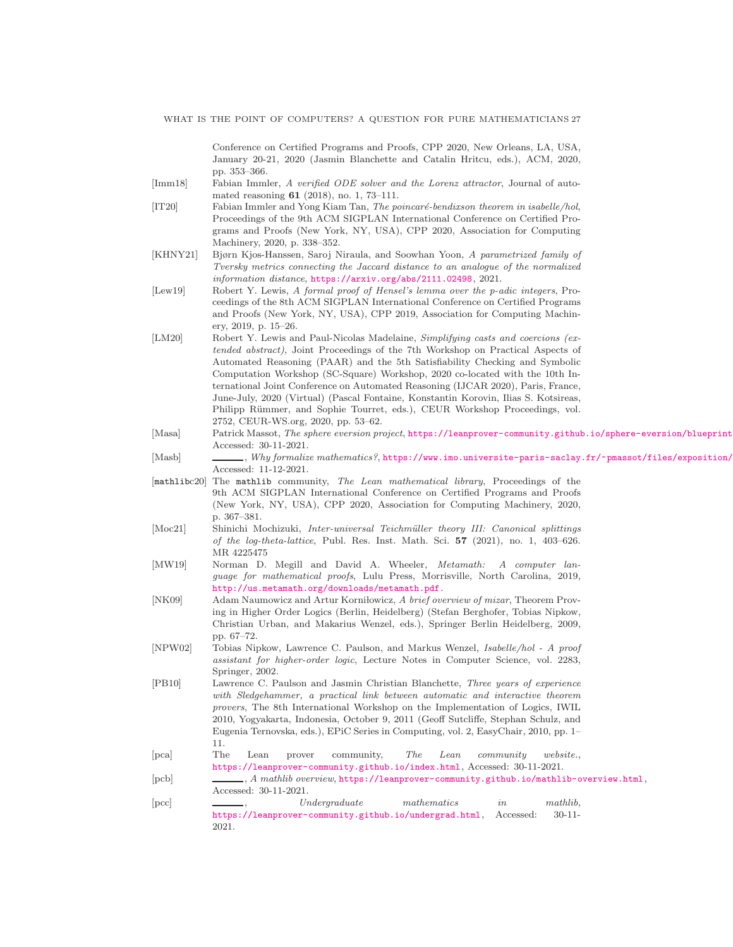Conference on Certified Programs and Proofs, CPP 2020, New Orleans, LA, USA, January 20-21, 2020 (Jasmin Blanchette and Catalin Hritcu, eds.), ACM, 2020, pp. 353–366.

- <span id="page-26-6"></span>[Imm18] Fabian Immler, *A verified ODE solver and the Lorenz attractor*, Journal of automated reasoning 61 (2018), no. 1, 73–111.
- <span id="page-26-7"></span>[IT20] Fabian Immler and Yong Kiam Tan, *The poincar´e-bendixson theorem in isabelle/hol*, Proceedings of the 9th ACM SIGPLAN International Conference on Certified Programs and Proofs (New York, NY, USA), CPP 2020, Association for Computing Machinery, 2020, p. 338–352.
- <span id="page-26-13"></span>[KHNY21] Bjørn Kjos-Hanssen, Saroj Niraula, and Soowhan Yoon, *A parametrized family of Tversky metrics connecting the Jaccard distance to an analogue of the normalized information distance*, <https://arxiv.org/abs/2111.02498>, 2021.
- <span id="page-26-8"></span>[Lew19] Robert Y. Lewis, *A formal proof of Hensel's lemma over the p-adic integers*, Proceedings of the 8th ACM SIGPLAN International Conference on Certified Programs and Proofs (New York, NY, USA), CPP 2019, Association for Computing Machinery, 2019, p. 15–26.
- <span id="page-26-11"></span>[LM20] Robert Y. Lewis and Paul-Nicolas Madelaine, *Simplifying casts and coercions (extended abstract)*, Joint Proceedings of the 7th Workshop on Practical Aspects of Automated Reasoning (PAAR) and the 5th Satisfiability Checking and Symbolic Computation Workshop (SC-Square) Workshop, 2020 co-located with the 10th International Joint Conference on Automated Reasoning (IJCAR 2020), Paris, France, June-July, 2020 (Virtual) (Pascal Fontaine, Konstantin Korovin, Ilias S. Kotsireas, Philipp Rümmer, and Sophie Tourret, eds.), CEUR Workshop Proceedings, vol. 2752, CEUR-WS.org, 2020, pp. 53–62.
- <span id="page-26-12"></span>[Masa] Patrick Massot, *The sphere eversion project*, https://leanprover-community.github.io/sphere-eversion/blueprint Accessed: 30-11-2021.
- <span id="page-26-0"></span>[Masb] , *Why formalize mathematics?*, https://www.imo.universite-paris-saclay.fr/~pmassot/files/exposition/ Accessed: 11-12-2021.
- <span id="page-26-2"></span>[mathlibc20] The mathlib community, *The Lean mathematical library*, Proceedings of the 9th ACM SIGPLAN International Conference on Certified Programs and Proofs (New York, NY, USA), CPP 2020, Association for Computing Machinery, 2020, p. 367–381.
- <span id="page-26-15"></span>[Moc21] Shinichi Mochizuki, *Inter-universal Teichm¨uller theory III: Canonical splittings of the log-theta-lattice*, Publ. Res. Inst. Math. Sci. 57 (2021), no. 1, 403–626. MR 4225475
- <span id="page-26-4"></span>[MW19] Norman D. Megill and David A. Wheeler, *Metamath: A computer language for mathematical proofs*, Lulu Press, Morrisville, North Carolina, 2019, <http://us.metamath.org/downloads/metamath.pdf>.
- <span id="page-26-5"></span>[NK09] Adam Naumowicz and Artur Korni lowicz, *A brief overview of mizar*, Theorem Proving in Higher Order Logics (Berlin, Heidelberg) (Stefan Berghofer, Tobias Nipkow, Christian Urban, and Makarius Wenzel, eds.), Springer Berlin Heidelberg, 2009, pp. 67–72.
- <span id="page-26-3"></span>[NPW02] Tobias Nipkow, Lawrence C. Paulson, and Markus Wenzel, *Isabelle/hol - A proof assistant for higher-order logic*, Lecture Notes in Computer Science, vol. 2283, Springer, 2002.
- <span id="page-26-14"></span>[PB10] Lawrence C. Paulson and Jasmin Christian Blanchette, *Three years of experience with Sledgehammer, a practical link between automatic and interactive theorem provers*, The 8th International Workshop on the Implementation of Logics, IWIL 2010, Yogyakarta, Indonesia, October 9, 2011 (Geoff Sutcliffe, Stephan Schulz, and Eugenia Ternovska, eds.), EPiC Series in Computing, vol. 2, EasyChair, 2010, pp. 1– 11.
- <span id="page-26-1"></span>[pca] The Lean prover community, *The Lean community website.*, <https://leanprover-community.github.io/index.html>, Accessed: 30-11-2021.
- <span id="page-26-9"></span>[pcb] , *A mathlib overview*, <https://leanprover-community.github.io/mathlib-overview.html>, Accessed: 30-11-2021.
- <span id="page-26-10"></span>[pcc] , *Undergraduate mathematics in mathlib*, <https://leanprover-community.github.io/undergrad.html>, Accessed: 30-11- 2021.